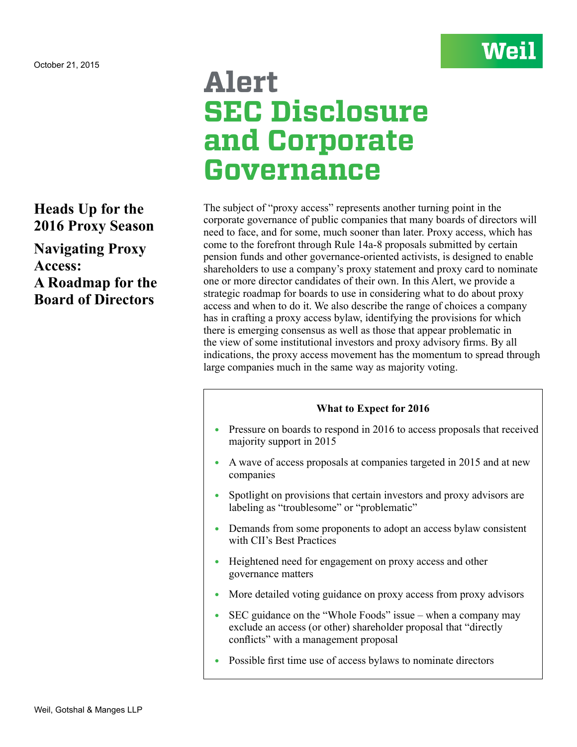## Wei

# **Alert SEC Disclosure and Corporate Governance**

The subject of "proxy access" represents another turning point in the corporate governance of public companies that many boards of directors will need to face, and for some, much sooner than later. Proxy access, which has come to the forefront through Rule 14a-8 proposals submitted by certain pension funds and other governance-oriented activists, is designed to enable shareholders to use a company's proxy statement and proxy card to nominate one or more director candidates of their own. In this Alert, we provide a strategic roadmap for boards to use in considering what to do about proxy access and when to do it. We also describe the range of choices a company has in crafting a proxy access bylaw, identifying the provisions for which there is emerging consensus as well as those that appear problematic in the view of some institutional investors and proxy advisory firms. By all indications, the proxy access movement has the momentum to spread through large companies much in the same way as majority voting.

#### **What to Expect for 2016**

- $\cdot$  Pressure on boards to respond in 2016 to access proposals that received majority support in 2015
- <sup>l</sup> A wave of access proposals at companies targeted in 2015 and at new companies
- Spotlight on provisions that certain investors and proxy advisors are labeling as "troublesome" or "problematic"
- <sup>l</sup> Demands from some proponents to adopt an access bylaw consistent with CII's Best Practices
- Heightened need for engagement on proxy access and other governance matters
- <sup>l</sup> More detailed voting guidance on proxy access from proxy advisors
- <sup>l</sup> SEC guidance on the "Whole Foods" issue when a company may exclude an access (or other) shareholder proposal that "directly conflicts" with a management proposal
- Possible first time use of access bylaws to nominate directors

**Heads Up for the 2016 Proxy Season** 

**Navigating Proxy Access: A Roadmap for the Board of Directors**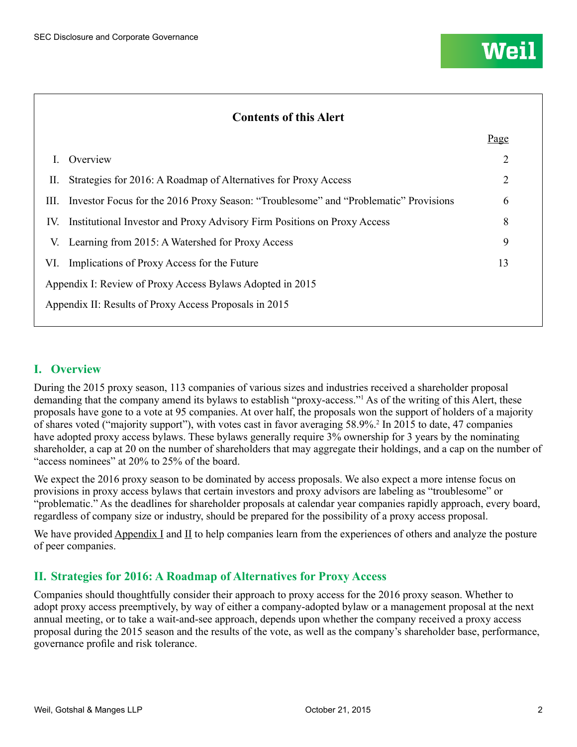#### **Contents of this Alert**

|                                                                                            | Page |  |  |  |  |  |
|--------------------------------------------------------------------------------------------|------|--|--|--|--|--|
| Overview                                                                                   | 2    |  |  |  |  |  |
| Strategies for 2016: A Roadmap of Alternatives for Proxy Access<br>П.                      | 2    |  |  |  |  |  |
| Investor Focus for the 2016 Proxy Season: "Troublesome" and "Problematic" Provisions<br>Ш. | 6    |  |  |  |  |  |
| Institutional Investor and Proxy Advisory Firm Positions on Proxy Access<br>IV.            | 8    |  |  |  |  |  |
| V. Learning from 2015: A Watershed for Proxy Access                                        | 9    |  |  |  |  |  |
| Implications of Proxy Access for the Future<br>VI.                                         | 13   |  |  |  |  |  |
| Appendix I: Review of Proxy Access Bylaws Adopted in 2015                                  |      |  |  |  |  |  |
| Appendix II: Results of Proxy Access Proposals in 2015                                     |      |  |  |  |  |  |
|                                                                                            |      |  |  |  |  |  |

#### **I. Overview**

During the 2015 proxy season, 113 companies of various sizes and industries received a shareholder proposal demanding that the company amend its bylaws to establish "proxy-access."1 As of the writing of this Alert, these proposals have gone to a vote at 95 companies. At over half, the proposals won the support of holders of a majority of shares voted ("majority support"), with votes cast in favor averaging 58.9%.2 In 2015 to date, 47 companies have adopted proxy access bylaws. These bylaws generally require 3% ownership for 3 years by the nominating shareholder, a cap at 20 on the number of shareholders that may aggregate their holdings, and a cap on the number of "access nominees" at 20% to 25% of the board.

We expect the 2016 proxy season to be dominated by access proposals. We also expect a more intense focus on provisions in proxy access bylaws that certain investors and proxy advisors are labeling as "troublesome" or "problematic." As the deadlines for shareholder proposals at calendar year companies rapidly approach, every board, regardless of company size or industry, should be prepared for the possibility of a proxy access proposal.

We have provided  $\Delta$ ppendix I and II to help companies learn from the experiences of others and analyze the posture of peer companies.

#### **II. Strategies for 2016: A Roadmap of Alternatives for Proxy Access**

Companies should thoughtfully consider their approach to proxy access for the 2016 proxy season. Whether to adopt proxy access preemptively, by way of either a company-adopted bylaw or a management proposal at the next annual meeting, or to take a wait-and-see approach, depends upon whether the company received a proxy access proposal during the 2015 season and the results of the vote, as well as the company's shareholder base, performance, governance profile and risk tolerance.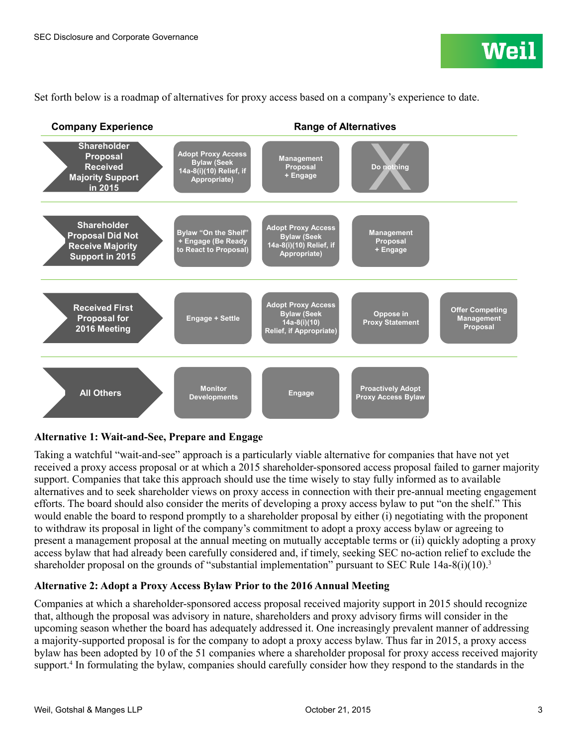Set forth below is a roadmap of alternatives for proxy access based on a company's experience to date.



#### **Alternative 1: Wait-and-See, Prepare and Engage**

Taking a watchful "wait-and-see" approach is a particularly viable alternative for companies that have not yet raking a watchful wan-and-see approach is a particularly viable attendance for companies that have not yet<br>received a proxy access proposal or at which a 2015 shareholder-sponsored access proposal failed to garner majority support. Companies that take this approach should use the time wisely to stay fully informed as to available alternatives and to seek shareholder views on proxy access in connection with their pre-annual meeting engagement efforts. The board should also consider the merits of developing a proxy access bylaw to put "on the shelf." This would enable the board to respond promptly to a shareholder proposal by either (i) negotiating with the proponent to withdraw its proposal in light of the company's commitment to adopt a proxy access bylaw or agreeing to present a management proposal at the annual meeting on mutually acceptable terms or (ii) quickly adopting a proxy access bylaw that had already been carefully considered and, if timely, seeking SEC no-action relief to exclude the shareholder proposal on the grounds of "substantial implementation" pursuant to SEC Rule 14a-8(i)(10).<sup>3</sup>

#### **Alternative 2: Adopt a Proxy Access Bylaw Prior to the 2016 Annual Meeting**

Companies at which a shareholder-sponsored access proposal received majority support in 2015 should recognize that, although the proposal was advisory in nature, shareholders and proxy advisory firms will consider in the upcoming season whether the board has adequately addressed it. One increasingly prevalent manner of addressing a majority-supported proposal is for the company to adopt a proxy access bylaw. Thus far in 2015, a proxy access bylaw has been adopted by 10 of the 51 companies where a shareholder proposal for proxy access received majority support.<sup>4</sup> In formulating the bylaw, companies should carefully consider how they respond to the standards in the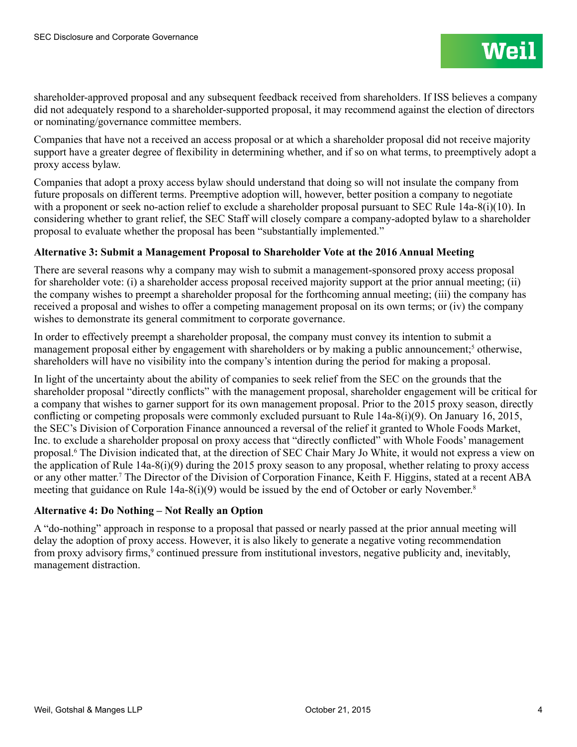shareholder-approved proposal and any subsequent feedback received from shareholders. If ISS believes a company did not adequately respond to a shareholder-supported proposal, it may recommend against the election of directors or nominating/governance committee members.

Companies that have not a received an access proposal or at which a shareholder proposal did not receive majority support have a greater degree of flexibility in determining whether, and if so on what terms, to preemptively adopt a proxy access bylaw.

Companies that adopt a proxy access bylaw should understand that doing so will not insulate the company from future proposals on different terms. Preemptive adoption will, however, better position a company to negotiate with a proponent or seek no-action relief to exclude a shareholder proposal pursuant to SEC Rule 14a-8(i)(10). In considering whether to grant relief, the SEC Staff will closely compare a company-adopted bylaw to a shareholder proposal to evaluate whether the proposal has been "substantially implemented."

#### **Alternative 3: Submit a Management Proposal to Shareholder Vote at the 2016 Annual Meeting**

There are several reasons why a company may wish to submit a management-sponsored proxy access proposal for shareholder vote: (i) a shareholder access proposal received majority support at the prior annual meeting; (ii) the company wishes to preempt a shareholder proposal for the forthcoming annual meeting; (iii) the company has received a proposal and wishes to offer a competing management proposal on its own terms; or (iv) the company wishes to demonstrate its general commitment to corporate governance.

In order to effectively preempt a shareholder proposal, the company must convey its intention to submit a management proposal either by engagement with shareholders or by making a public announcement;<sup>5</sup> otherwise, shareholders will have no visibility into the company's intention during the period for making a proposal.

In light of the uncertainty about the ability of companies to seek relief from the SEC on the grounds that the shareholder proposal "directly conflicts" with the management proposal, shareholder engagement will be critical for a company that wishes to garner support for its own management proposal. Prior to the 2015 proxy season, directly conflicting or competing proposals were commonly excluded pursuant to Rule 14a-8(i)(9). On January 16, 2015, the SEC's Division of Corporation Finance announced a reversal of the relief it granted to Whole Foods Market, Inc. to exclude a shareholder proposal on proxy access that "directly conflicted" with Whole Foods' management proposal.<sup>6</sup> The Division indicated that, at the direction of SEC Chair Mary Jo White, it would not express a view on the application of Rule 14a-8(i)(9) during the 2015 proxy season to any proposal, whether relating to proxy access or any other matter.7 The Director of the Division of Corporation Finance, Keith F. Higgins, stated at a recent ABA meeting that guidance on Rule  $14a-8(i)(9)$  would be issued by the end of October or early November.<sup>8</sup>

#### **Alternative 4: Do Nothing – Not Really an Option**

A "do-nothing" approach in response to a proposal that passed or nearly passed at the prior annual meeting will delay the adoption of proxy access. However, it is also likely to generate a negative voting recommendation from proxy advisory firms,<sup>9</sup> continued pressure from institutional investors, negative publicity and, inevitably, management distraction.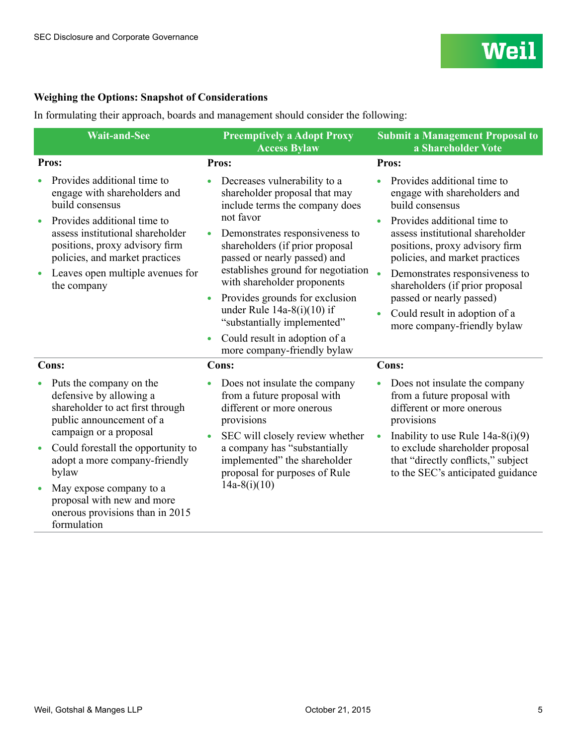#### **Weighing the Options: Snapshot of Considerations**

In formulating their approach, boards and management should consider the following:

| <b>Wait-and-See</b>                                                                                                                                                                                                                                                                                                                                               | <b>Preemptively a Adopt Proxy</b><br><b>Access Bylaw</b>                                                                                                                                                                                                                                                                                                                                                                                                                          | <b>Submit a Management Proposal to</b><br>a Shareholder Vote                                                                                                                                                                                                                                                                                                                                                     |  |  |  |
|-------------------------------------------------------------------------------------------------------------------------------------------------------------------------------------------------------------------------------------------------------------------------------------------------------------------------------------------------------------------|-----------------------------------------------------------------------------------------------------------------------------------------------------------------------------------------------------------------------------------------------------------------------------------------------------------------------------------------------------------------------------------------------------------------------------------------------------------------------------------|------------------------------------------------------------------------------------------------------------------------------------------------------------------------------------------------------------------------------------------------------------------------------------------------------------------------------------------------------------------------------------------------------------------|--|--|--|
| Pros:                                                                                                                                                                                                                                                                                                                                                             | Pros:                                                                                                                                                                                                                                                                                                                                                                                                                                                                             | Pros:                                                                                                                                                                                                                                                                                                                                                                                                            |  |  |  |
| Provides additional time to<br>engage with shareholders and<br>build consensus<br>Provides additional time to<br>$\bullet$<br>assess institutional shareholder<br>positions, proxy advisory firm<br>policies, and market practices<br>Leaves open multiple avenues for<br>the company                                                                             | Decreases vulnerability to a<br>shareholder proposal that may<br>include terms the company does<br>not favor<br>Demonstrates responsiveness to<br>$\bullet$<br>shareholders (if prior proposal<br>passed or nearly passed) and<br>establishes ground for negotiation<br>with shareholder proponents<br>Provides grounds for exclusion<br>$\bullet$<br>under Rule $14a-8(i)(10)$ if<br>"substantially implemented"<br>Could result in adoption of a<br>more company-friendly bylaw | Provides additional time to<br>engage with shareholders and<br>build consensus<br>Provides additional time to<br>$\bullet$<br>assess institutional shareholder<br>positions, proxy advisory firm<br>policies, and market practices<br>Demonstrates responsiveness to<br>shareholders (if prior proposal<br>passed or nearly passed)<br>Could result in adoption of a<br>$\bullet$<br>more company-friendly bylaw |  |  |  |
| Cons:                                                                                                                                                                                                                                                                                                                                                             | Cons:                                                                                                                                                                                                                                                                                                                                                                                                                                                                             | Cons:                                                                                                                                                                                                                                                                                                                                                                                                            |  |  |  |
| Puts the company on the<br>$\bullet$<br>defensive by allowing a<br>shareholder to act first through<br>public announcement of a<br>campaign or a proposal<br>Could forestall the opportunity to<br>$\bullet$<br>adopt a more company-friendly<br>bylaw<br>May expose company to a<br>proposal with new and more<br>onerous provisions than in 2015<br>formulation | Does not insulate the company<br>from a future proposal with<br>different or more onerous<br>provisions<br>SEC will closely review whether<br>a company has "substantially<br>implemented" the shareholder<br>proposal for purposes of Rule<br>$14a-8(i)(10)$                                                                                                                                                                                                                     | Does not insulate the company<br>from a future proposal with<br>different or more onerous<br>provisions<br>Inability to use Rule $14a-8(i)(9)$<br>$\bullet$<br>to exclude shareholder proposal<br>that "directly conflicts," subject<br>to the SEC's anticipated guidance                                                                                                                                        |  |  |  |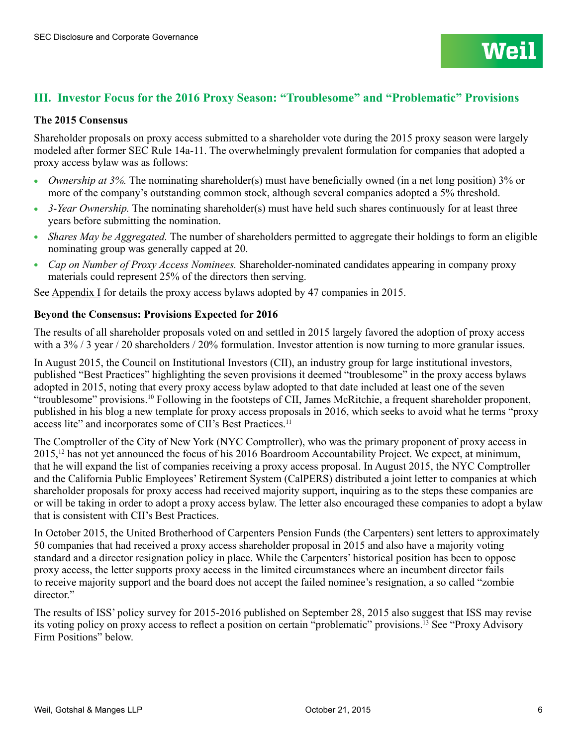#### **III. Investor Focus for the 2016 Proxy Season: "Troublesome" and "Problematic" Provisions**

#### **The 2015 Consensus**

Shareholder proposals on proxy access submitted to a shareholder vote during the 2015 proxy season were largely modeled after former SEC Rule 14a-11. The overwhelmingly prevalent formulation for companies that adopted a proxy access bylaw was as follows:

- <sup>l</sup> *Ownership at 3%.* The nominating shareholder(s) must have beneficially owned (in a net long position) 3% or more of the company's outstanding common stock, although several companies adopted a 5% threshold.
- <sup>l</sup> *3-Year Ownership.* The nominating shareholder(s) must have held such shares continuously for at least three years before submitting the nomination.
- *Shares May be Aggregated.* The number of shareholders permitted to aggregate their holdings to form an eligible nominating group was generally capped at 20.
- <sup>l</sup> *Cap on Number of Proxy Access Nominees.* Shareholder-nominated candidates appearing in company proxy materials could represent 25% of the directors then serving.

See Appendix I for details the proxy access bylaws adopted by 47 companies in 2015.

#### **Beyond the Consensus: Provisions Expected for 2016**

The results of all shareholder proposals voted on and settled in 2015 largely favored the adoption of proxy access with a 3% / 3 year / 20 shareholders / 20% formulation. Investor attention is now turning to more granular issues.

In August 2015, the Council on Institutional Investors (CII), an industry group for large institutional investors, published "Best Practices" highlighting the seven provisions it deemed "troublesome" in the proxy access bylaws adopted in 2015, noting that every proxy access bylaw adopted to that date included at least one of the seven "troublesome" provisions.10 Following in the footsteps of CII, James McRitchie, a frequent shareholder proponent, published in his blog a new template for proxy access proposals in 2016, which seeks to avoid what he terms "proxy access lite" and incorporates some of CII's Best Practices.<sup>11</sup>

The Comptroller of the City of New York (NYC Comptroller), who was the primary proponent of proxy access in 2015,12 has not yet announced the focus of his 2016 Boardroom Accountability Project. We expect, at minimum, that he will expand the list of companies receiving a proxy access proposal. In August 2015, the NYC Comptroller and the California Public Employees' Retirement System (CalPERS) distributed a joint letter to companies at which shareholder proposals for proxy access had received majority support, inquiring as to the steps these companies are or will be taking in order to adopt a proxy access bylaw. The letter also encouraged these companies to adopt a bylaw that is consistent with CII's Best Practices.

In October 2015, the United Brotherhood of Carpenters Pension Funds (the Carpenters) sent letters to approximately 50 companies that had received a proxy access shareholder proposal in 2015 and also have a majority voting standard and a director resignation policy in place. While the Carpenters' historical position has been to oppose proxy access, the letter supports proxy access in the limited circumstances where an incumbent director fails to receive majority support and the board does not accept the failed nominee's resignation, a so called "zombie director."

The results of ISS' policy survey for 2015-2016 published on September 28, 2015 also suggest that ISS may revise its voting policy on proxy access to reflect a position on certain "problematic" provisions.13 See "Proxy Advisory Firm Positions" below.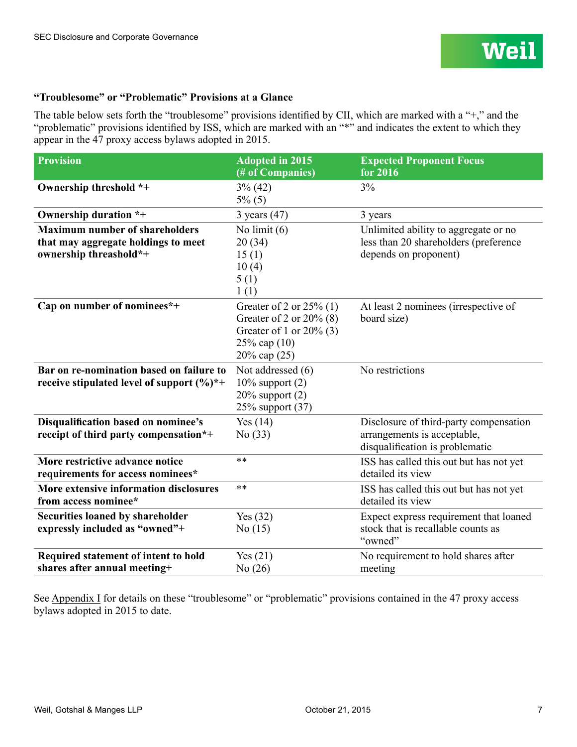#### **"Troublesome" or "Problematic" Provisions at a Glance**

The table below sets forth the "troublesome" provisions identified by CII, which are marked with a "+," and the "problematic" provisions identified by ISS, which are marked with an "\*" and indicates the extent to which they appear in the 47 proxy access bylaws adopted in 2015.

| <b>Provision</b>                                                                                       | <b>Adopted in 2015</b><br>(# of Companies)                                                                                       | <b>Expected Proponent Focus</b><br>for 2016                                                              |
|--------------------------------------------------------------------------------------------------------|----------------------------------------------------------------------------------------------------------------------------------|----------------------------------------------------------------------------------------------------------|
| Ownership threshold *+                                                                                 | $3\%$ (42)<br>$5\%$ (5)                                                                                                          | 3%                                                                                                       |
| Ownership duration *+                                                                                  | $3$ years $(47)$                                                                                                                 | 3 years                                                                                                  |
| <b>Maximum number of shareholders</b><br>that may aggregate holdings to meet<br>ownership threashold*+ | No limit $(6)$<br>20(34)<br>15(1)<br>10(4)<br>5(1)<br>1(1)                                                                       | Unlimited ability to aggregate or no<br>less than 20 shareholders (preference<br>depends on proponent)   |
| Cap on number of nominees*+                                                                            | Greater of 2 or $25\%$ (1)<br>Greater of 2 or $20\%$ (8)<br>Greater of 1 or $20\%$ (3)<br>$25\%$ cap $(10)$<br>$20\%$ cap $(25)$ | At least 2 nominees (irrespective of<br>board size)                                                      |
| Bar on re-nomination based on failure to<br>receive stipulated level of support $(\%)^*+$              | Not addressed (6)<br>$10\%$ support $(2)$<br>$20\%$ support $(2)$<br>25% support (37)                                            | No restrictions                                                                                          |
| Disqualification based on nominee's<br>receipt of third party compensation*+                           | Yes $(14)$<br>No $(33)$                                                                                                          | Disclosure of third-party compensation<br>arrangements is acceptable,<br>disqualification is problematic |
| More restrictive advance notice<br>requirements for access nominees*                                   | **                                                                                                                               | ISS has called this out but has not yet<br>detailed its view                                             |
| More extensive information disclosures<br>from access nominee*                                         | **                                                                                                                               | ISS has called this out but has not yet<br>detailed its view                                             |
| <b>Securities loaned by shareholder</b><br>expressly included as "owned"+                              | Yes $(32)$<br>No $(15)$                                                                                                          | Expect express requirement that loaned<br>stock that is recallable counts as<br>"owned"                  |
| Required statement of intent to hold<br>shares after annual meeting+                                   | Yes $(21)$<br>No $(26)$                                                                                                          | No requirement to hold shares after<br>meeting                                                           |

See Appendix I for details on these "troublesome" or "problematic" provisions contained in the 47 proxy access bylaws adopted in 2015 to date.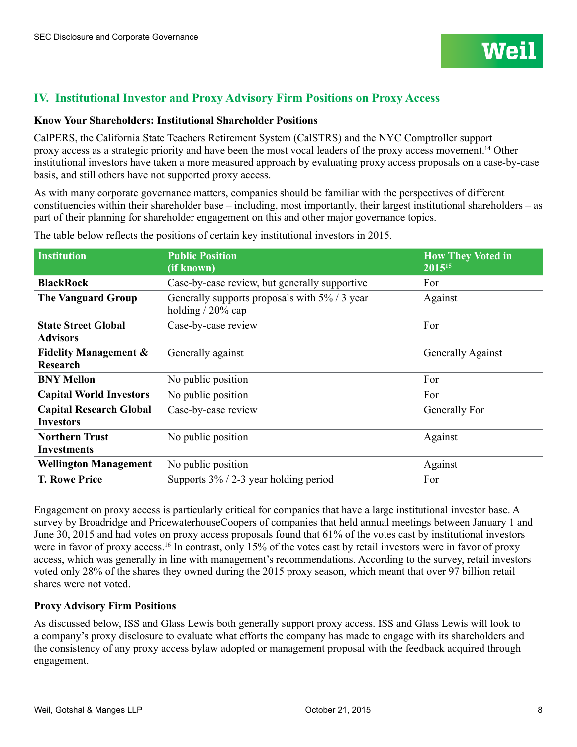#### **IV. Institutional Investor and Proxy Advisory Firm Positions on Proxy Access**

#### **Know Your Shareholders: Institutional Shareholder Positions**

CalPERS, the California State Teachers Retirement System (CalSTRS) and the NYC Comptroller support proxy access as a strategic priority and have been the most vocal leaders of the proxy access movement.14 Other institutional investors have taken a more measured approach by evaluating proxy access proposals on a case-by-case basis, and still others have not supported proxy access.

As with many corporate governance matters, companies should be familiar with the perspectives of different constituencies within their shareholder base – including, most importantly, their largest institutional shareholders – as part of their planning for shareholder engagement on this and other major governance topics.

| <b>Institution</b>                                  | <b>Public Position</b><br>(if known)                                 | <b>How They Voted in</b><br>2015 <sup>15</sup> |
|-----------------------------------------------------|----------------------------------------------------------------------|------------------------------------------------|
| <b>BlackRock</b>                                    | Case-by-case review, but generally supportive                        | For                                            |
| <b>The Vanguard Group</b>                           | Generally supports proposals with 5% / 3 year<br>holding $/20\%$ cap | Against                                        |
| <b>State Street Global</b><br><b>Advisors</b>       | Case-by-case review                                                  | For                                            |
| <b>Fidelity Management &amp;</b><br><b>Research</b> | Generally against                                                    | <b>Generally Against</b>                       |
| <b>BNY Mellon</b>                                   | No public position                                                   | For                                            |
| <b>Capital World Investors</b>                      | No public position                                                   | For                                            |
| <b>Capital Research Global</b><br><b>Investors</b>  | Case-by-case review                                                  | Generally For                                  |
| <b>Northern Trust</b><br><b>Investments</b>         | No public position                                                   | Against                                        |
| <b>Wellington Management</b>                        | No public position                                                   | Against                                        |
| <b>T. Rowe Price</b>                                | Supports $3\%$ / 2-3 year holding period                             | For                                            |

The table below reflects the positions of certain key institutional investors in 2015.

Engagement on proxy access is particularly critical for companies that have a large institutional investor base. A survey by Broadridge and PricewaterhouseCoopers of companies that held annual meetings between January 1 and June 30, 2015 and had votes on proxy access proposals found that 61% of the votes cast by institutional investors were in favor of proxy access.<sup>16</sup> In contrast, only 15% of the votes cast by retail investors were in favor of proxy access, which was generally in line with management's recommendations. According to the survey, retail investors voted only 28% of the shares they owned during the 2015 proxy season, which meant that over 97 billion retail shares were not voted.

#### **Proxy Advisory Firm Positions**

As discussed below, ISS and Glass Lewis both generally support proxy access. ISS and Glass Lewis will look to a company's proxy disclosure to evaluate what efforts the company has made to engage with its shareholders and the consistency of any proxy access bylaw adopted or management proposal with the feedback acquired through engagement.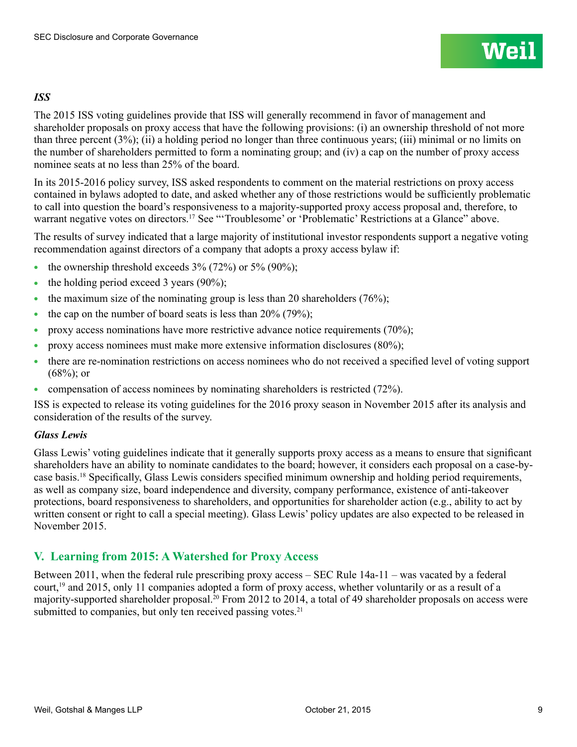#### *ISS*

The 2015 ISS voting guidelines provide that ISS will generally recommend in favor of management and shareholder proposals on proxy access that have the following provisions: (i) an ownership threshold of not more than three percent (3%); (ii) a holding period no longer than three continuous years; (iii) minimal or no limits on the number of shareholders permitted to form a nominating group; and (iv) a cap on the number of proxy access nominee seats at no less than 25% of the board.

In its 2015-2016 policy survey, ISS asked respondents to comment on the material restrictions on proxy access contained in bylaws adopted to date, and asked whether any of those restrictions would be sufficiently problematic to call into question the board's responsiveness to a majority-supported proxy access proposal and, therefore, to warrant negative votes on directors.<sup>17</sup> See "'Troublesome' or 'Problematic' Restrictions at a Glance" above.

The results of survey indicated that a large majority of institutional investor respondents support a negative voting recommendation against directors of a company that adopts a proxy access bylaw if:

- the ownership threshold exceeds  $3\%$  (72%) or  $5\%$  (90%);
- the holding period exceed 3 years  $(90\%)$ ;
- the maximum size of the nominating group is less than 20 shareholders (76%);
- the cap on the number of board seats is less than  $20\%$  (79%);
- <sup>l</sup> proxy access nominations have more restrictive advance notice requirements (70%);
- <sup>l</sup> proxy access nominees must make more extensive information disclosures (80%);
- <sup>l</sup> there are re-nomination restrictions on access nominees who do not received a specified level of voting support  $(68\%)$ ; or
- compensation of access nominees by nominating shareholders is restricted  $(72\%)$ .

ISS is expected to release its voting guidelines for the 2016 proxy season in November 2015 after its analysis and consideration of the results of the survey.

#### *Glass Lewis*

Glass Lewis' voting guidelines indicate that it generally supports proxy access as a means to ensure that significant shareholders have an ability to nominate candidates to the board; however, it considers each proposal on a case-bycase basis.18 Specifically, Glass Lewis considers specified minimum ownership and holding period requirements, as well as company size, board independence and diversity, company performance, existence of anti-takeover protections, board responsiveness to shareholders, and opportunities for shareholder action (e.g., ability to act by written consent or right to call a special meeting). Glass Lewis' policy updates are also expected to be released in November 2015.

#### **V. Learning from 2015: A Watershed for Proxy Access**

Between 2011, when the federal rule prescribing proxy access – SEC Rule 14a-11 – was vacated by a federal court,<sup>19</sup> and 2015, only 11 companies adopted a form of proxy access, whether voluntarily or as a result of a majority-supported shareholder proposal.<sup>20</sup> From 2012 to 2014, a total of 49 shareholder proposals on access were submitted to companies, but only ten received passing votes.<sup>21</sup>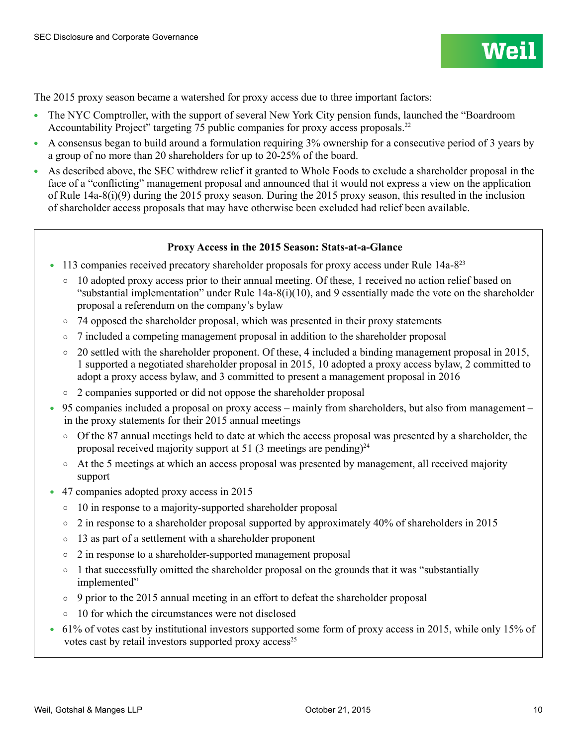

The 2015 proxy season became a watershed for proxy access due to three important factors:

- The NYC Comptroller, with the support of several New York City pension funds, launched the "Boardroom" Accountability Project" targeting 75 public companies for proxy access proposals.22
- A consensus began to build around a formulation requiring 3% ownership for a consecutive period of 3 years by a group of no more than 20 shareholders for up to 20-25% of the board.
- As described above, the SEC withdrew relief it granted to Whole Foods to exclude a shareholder proposal in the face of a "conflicting" management proposal and announced that it would not express a view on the application of Rule 14a-8(i)(9) during the 2015 proxy season. During the 2015 proxy season, this resulted in the inclusion of shareholder access proposals that may have otherwise been excluded had relief been available.

#### **Proxy Access in the 2015 Season: Stats-at-a-Glance**

- $\bullet$  113 companies received precatory shareholder proposals for proxy access under Rule 14a-8<sup>23</sup>
	- $\circ$  10 adopted proxy access prior to their annual meeting. Of these, 1 received no action relief based on "substantial implementation" under Rule  $14a-8(i)(10)$ , and 9 essentially made the vote on the shareholder proposal a referendum on the company's bylaw
	- $\circ$  74 opposed the shareholder proposal, which was presented in their proxy statements
	- $\circ$  7 included a competing management proposal in addition to the shareholder proposal
	- $\circ$  20 settled with the shareholder proponent. Of these, 4 included a binding management proposal in 2015, 1 supported a negotiated shareholder proposal in 2015, 10 adopted a proxy access bylaw, 2 committed to adopt a proxy access bylaw, and 3 committed to present a management proposal in 2016
	- 2 companies supported or did not oppose the shareholder proposal
- $\bullet$  95 companies included a proposal on proxy access mainly from shareholders, but also from management in the proxy statements for their 2015 annual meetings
	- Of the 87 annual meetings held to date at which the access proposal was presented by a shareholder, the proposal received majority support at 51 (3 meetings are pending)<sup>24</sup>
	- $\circ$  At the 5 meetings at which an access proposal was presented by management, all received majority support
- 47 companies adopted proxy access in 2015
	- $\circ$  10 in response to a majority-supported shareholder proposal
	- $\circ$  2 in response to a shareholder proposal supported by approximately 40% of shareholders in 2015
	- 13 as part of a settlement with a shareholder proponent
	- 2 in response to a shareholder-supported management proposal
	- $\circ$  1 that successfully omitted the shareholder proposal on the grounds that it was "substantially implemented"
	- $\circ$  9 prior to the 2015 annual meeting in an effort to defeat the shareholder proposal
	- $\circ$  10 for which the circumstances were not disclosed
- <sup>l</sup> 61% of votes cast by institutional investors supported some form of proxy access in 2015, while only 15% of votes cast by retail investors supported proxy  $access^{25}$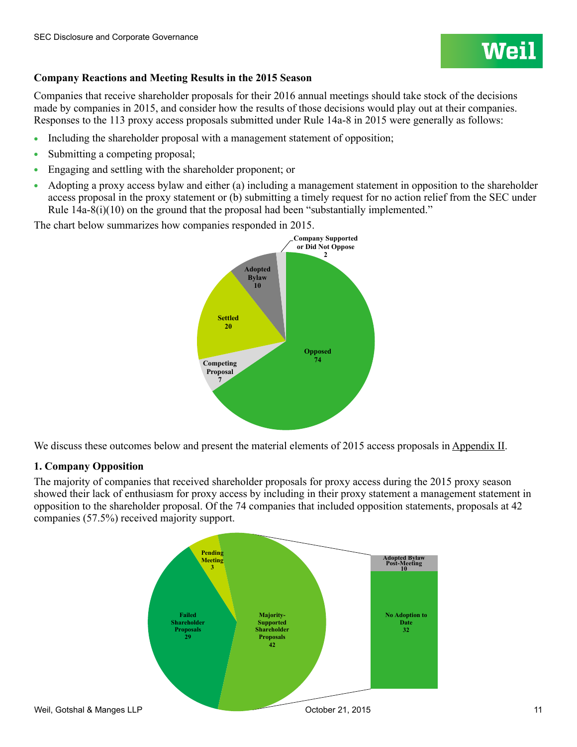#### **Company Reactions and Meeting Results in the 2015 Season**

Companies that receive shareholder proposals for their 2016 annual meetings should take stock of the decisions made by companies in 2015, and consider how the results of those decisions would play out at their companies. Responses to the 113 proxy access proposals submitted under Rule 14a-8 in 2015 were generally as follows:

- Including the shareholder proposal with a management statement of opposition;
- Submitting a competing proposal;
- Engaging and settling with the shareholder proponent; or
- Adopting a proxy access bylaw and either (a) including a management statement in opposition to the shareholder access proposal in the proxy statement or (b) submitting a timely request for no action relief from the SEC under Rule  $14a-8(i)(10)$  on the ground that the proposal had been "substantially implemented."

**Opposed <sup>74</sup> Competing Proposal 7 Settled 20 Adopted Bylaw 10 Company Supported or Did Not Oppose 2**

The chart below summarizes how companies responded in 2015.

We discuss these outcomes below and present the material elements of 2015 access proposals in Appendix II.

#### **1. Company Opposition**

The majority of companies that received shareholder proposals for proxy access during the 2015 proxy season showed their lack of enthusiasm for proxy access by including in their proxy statement a management statement in opposition to the shareholder proposal. Of the 74 companies that included opposition statements, proposals at 42 companies (57.5%) received majority support.

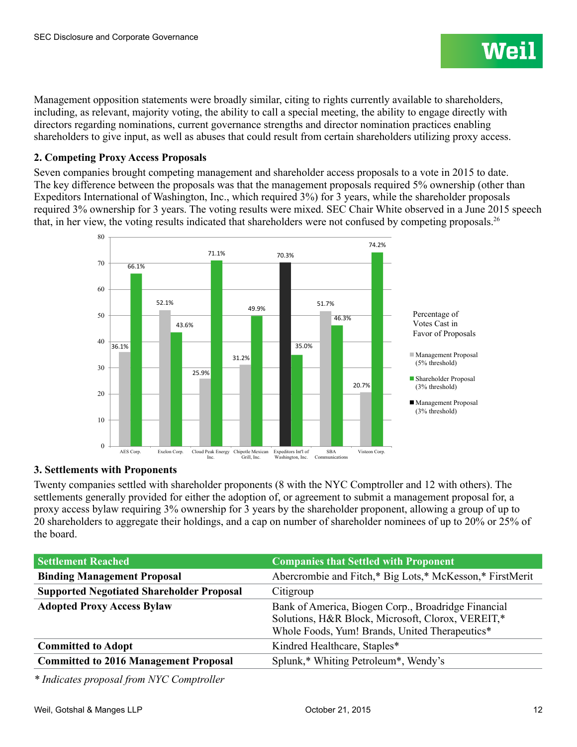Management opposition statements were broadly similar, citing to rights currently available to shareholders, including, as relevant, majority voting, the ability to call a special meeting, the ability to engage directly with directors regarding nominations, current governance strengths and director nomination practices enabling shareholders to give input, as well as abuses that could result from certain shareholders utilizing proxy access.

#### **2. Competing Proxy Access Proposals**

Seven companies brought competing management and shareholder access proposals to a vote in 2015 to date. The key difference between the proposals was that the management proposals required 5% ownership (other than Expeditors International of Washington, Inc., which required 3%) for 3 years, while the shareholder proposals required 3% ownership for 3 years. The voting results were mixed. SEC Chair White observed in a June 2015 speech that, in her view, the voting results indicated that shareholders were not confused by competing proposals.<sup>26</sup>



#### **3. Settlements with Proponents**

Twenty companies settled with shareholder proponents (8 with the NYC Comptroller and 12 with others). The settlements generally provided for either the adoption of, or agreement to submit a management proposal for, a proxy access bylaw requiring 3% ownership for 3 years by the shareholder proponent, allowing a group of up to 20 shareholders to aggregate their holdings, and a cap on number of shareholder nominees of up to 20% or 25% of the board.

| <b>Settlement Reached</b>                        | <b>Companies that Settled with Proponent</b>                                                                                                               |
|--------------------------------------------------|------------------------------------------------------------------------------------------------------------------------------------------------------------|
| <b>Binding Management Proposal</b>               | Abercrombie and Fitch,* Big Lots,* McKesson,* FirstMerit                                                                                                   |
| <b>Supported Negotiated Shareholder Proposal</b> | Citigroup                                                                                                                                                  |
| <b>Adopted Proxy Access Bylaw</b>                | Bank of America, Biogen Corp., Broadridge Financial<br>Solutions, H&R Block, Microsoft, Clorox, VEREIT,*<br>Whole Foods, Yum! Brands, United Therapeutics* |
| <b>Committed to Adopt</b>                        | Kindred Healthcare, Staples*                                                                                                                               |
| <b>Committed to 2016 Management Proposal</b>     | Splunk,* Whiting Petroleum*, Wendy's                                                                                                                       |

*\* Indicates proposal from NYC Comptroller*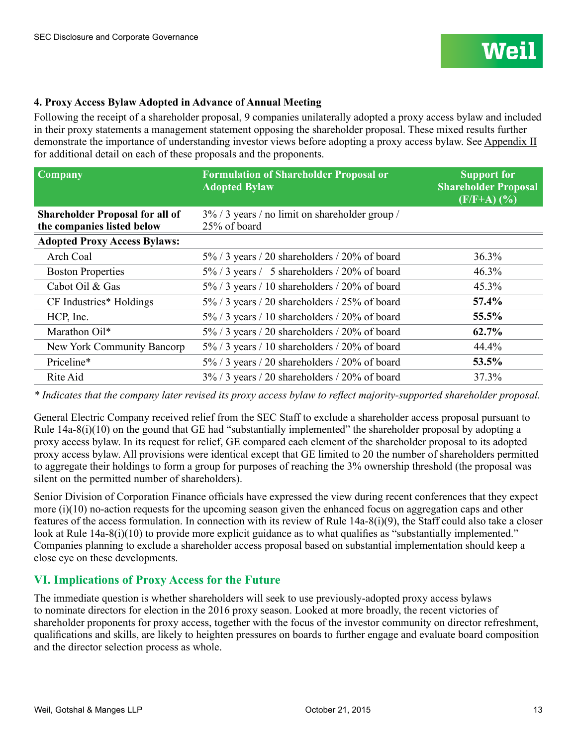#### **4. Proxy Access Bylaw Adopted in Advance of Annual Meeting**

Following the receipt of a shareholder proposal, 9 companies unilaterally adopted a proxy access bylaw and included in their proxy statements a management statement opposing the shareholder proposal. These mixed results further demonstrate the importance of understanding investor views before adopting a proxy access bylaw. See Appendix II for additional detail on each of these proposals and the proponents.

| Company                                                              | <b>Formulation of Shareholder Proposal or</b><br><b>Adopted Bylaw</b> | Support for<br><b>Shareholder Proposal</b><br>$(F/F+A)$ $(\frac{9}{6})$ |
|----------------------------------------------------------------------|-----------------------------------------------------------------------|-------------------------------------------------------------------------|
| <b>Shareholder Proposal for all of</b><br>the companies listed below | 3% / 3 years / no limit on shareholder group /<br>25% of board        |                                                                         |
| <b>Adopted Proxy Access Bylaws:</b>                                  |                                                                       |                                                                         |
| Arch Coal                                                            | $5\%$ / 3 years / 20 shareholders / 20% of board                      | 36.3%                                                                   |
| <b>Boston Properties</b>                                             | 5% / 3 years / 5 shareholders / 20% of board                          | 46.3%                                                                   |
| Cabot Oil & Gas                                                      | $5\%$ / 3 years / 10 shareholders / 20% of board                      | 45.3%                                                                   |
| CF Industries* Holdings                                              | 5% / 3 years / 20 shareholders / 25% of board                         | 57.4%                                                                   |
| HCP, Inc.                                                            | $5\%$ / 3 years / 10 shareholders / 20% of board                      | 55.5%                                                                   |
| Marathon Oil*                                                        | $5\%$ / 3 years / 20 shareholders / 20% of board                      | 62.7%                                                                   |
| New York Community Bancorp                                           | $5\%$ / 3 years / 10 shareholders / 20% of board                      | 44.4%                                                                   |
| Priceline*                                                           | $5\%$ / 3 years / 20 shareholders / 20% of board                      | 53.5%                                                                   |
| Rite Aid                                                             | $3\%$ / 3 years / 20 shareholders / 20% of board                      | 37.3%                                                                   |

*\* Indicates that the company later revised its proxy access bylaw to reflect majority-supported shareholder proposal.*

General Electric Company received relief from the SEC Staff to exclude a shareholder access proposal pursuant to Rule 14a-8(i)(10) on the gound that GE had "substantially implemented" the shareholder proposal by adopting a proxy access bylaw. In its request for relief, GE compared each element of the shareholder proposal to its adopted proxy access bylaw. All provisions were identical except that GE limited to 20 the number of shareholders permitted to aggregate their holdings to form a group for purposes of reaching the 3% ownership threshold (the proposal was silent on the permitted number of shareholders).

Senior Division of Corporation Finance officials have expressed the view during recent conferences that they expect more (i)(10) no-action requests for the upcoming season given the enhanced focus on aggregation caps and other features of the access formulation. In connection with its review of Rule 14a-8(i)(9), the Staff could also take a closer look at Rule 14a-8(i)(10) to provide more explicit guidance as to what qualifies as "substantially implemented." Companies planning to exclude a shareholder access proposal based on substantial implementation should keep a close eye on these developments.

#### **VI. Implications of Proxy Access for the Future**

The immediate question is whether shareholders will seek to use previously-adopted proxy access bylaws to nominate directors for election in the 2016 proxy season. Looked at more broadly, the recent victories of shareholder proponents for proxy access, together with the focus of the investor community on director refreshment, qualifications and skills, are likely to heighten pressures on boards to further engage and evaluate board composition and the director selection process as whole.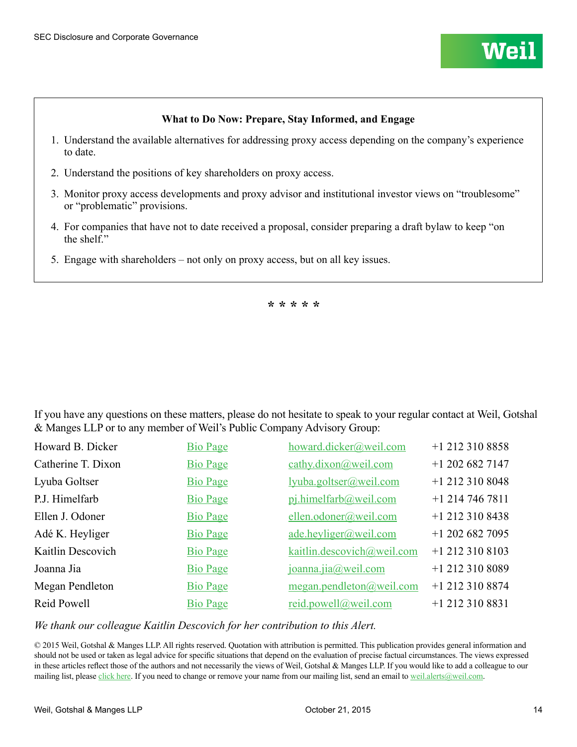### **What to Do Now: Prepare, Stay Informed, and Engage** 1. Understand the available alternatives for addressing proxy access depending on the company's experience to date. 2. Understand the positions of key shareholders on proxy access. 3. Monitor proxy access developments and proxy advisor and institutional investor views on "troublesome" or "problematic" provisions. 4. For companies that have not to date received a proposal, consider preparing a draft bylaw to keep "on the shelf." 5. Engage with shareholders – not only on proxy access, but on all key issues. **\* \* \* \* \***

If you have any questions on these matters, please do not hesitate to speak to your regular contact at Weil, Gotshal & Manges LLP or to any member of Weil's Public Company Advisory Group:

| Howard B. Dicker   | <b>Bio Page</b> | howard.dicker@weil.com     | +1 212 310 8858   |
|--------------------|-----------------|----------------------------|-------------------|
| Catherine T. Dixon | <b>Bio Page</b> | cathy.dixon@weil.com       | $+1$ 202 682 7147 |
| Lyuba Goltser      | <b>Bio Page</b> | lyuba.goltser@weil.com     | $+1$ 212 310 8048 |
| P.J. Himelfarb     | <b>Bio Page</b> | $pi$ .himelfarb@weil.com   | $+1$ 214 746 7811 |
| Ellen J. Odoner    | <b>Bio Page</b> | ellen.odoner@weil.com      | +1 212 310 8438   |
| Adé K. Heyliger    | <b>Bio Page</b> | ade.heyliger@weil.com      | $+1$ 202 682 7095 |
| Kaitlin Descovich  | <b>Bio Page</b> | kaitlin.descovich@weil.com | +1 212 310 8103   |
| Joanna Jia         | <b>Bio Page</b> | joanna.jia@weil.com        | +1 212 310 8089   |
| Megan Pendleton    | <b>Bio Page</b> | megan.pendleton@weil.com   | +1 212 310 8874   |
| Reid Powell        | <b>Bio Page</b> | reid.powell@weil.com       | $+1$ 212 310 8831 |

*We thank our colleague Kaitlin Descovich for her contribution to this Alert.*

© 2015 Weil, Gotshal & Manges LLP. All rights reserved. Quotation with attribution is permitted. This publication provides general information and should not be used or taken as legal advice for specific situations that depend on the evaluation of precise factual circumstances. The views expressed in these articles reflect those of the authors and not necessarily the views of Weil, Gotshal & Manges LLP. If you would like to add a colleague to our mailing list, please [click here.](https://interact.weil.com/reaction/RSGenPage.asp?RSID=8C8408E4C1EC1D85C2291B25C4111DB9A3432810B098665FD786811) If you need to change or remove your name from our mailing list, send an email to [weil.alerts@weil.com.](mailto:weil.alerts%40weil.com?subject=)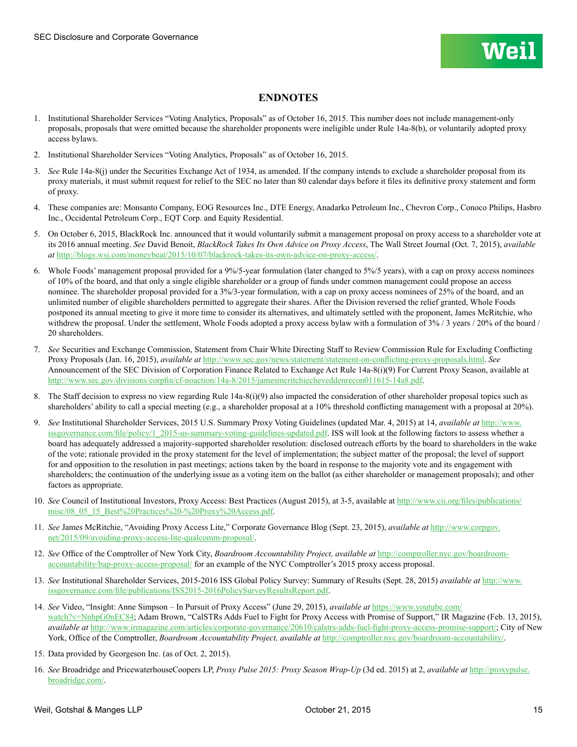#### **ENDNOTES**

- 1. Institutional Shareholder Services "Voting Analytics, Proposals" as of October 16, 2015. This number does not include management-only proposals, proposals that were omitted because the shareholder proponents were ineligible under Rule 14a-8(b), or voluntarily adopted proxy access bylaws.
- 2. Institutional Shareholder Services "Voting Analytics, Proposals" as of October 16, 2015.
- 3. *See* Rule 14a-8(j) under the Securities Exchange Act of 1934, as amended. If the company intends to exclude a shareholder proposal from its proxy materials, it must submit request for relief to the SEC no later than 80 calendar days before it files its definitive proxy statement and form of proxy.
- 4. These companies are: Monsanto Company, EOG Resources Inc., DTE Energy, Anadarko Petroleum Inc., Chevron Corp., Conoco Philips, Hasbro Inc., Occidental Petroleum Corp., EQT Corp. and Equity Residential.
- 5. On October 6, 2015, BlackRock Inc. announced that it would voluntarily submit a management proposal on proxy access to a shareholder vote at its 2016 annual meeting. *See* David Benoit, *BlackRock Takes Its Own Advice on Proxy Access*, The Wall Street Journal (Oct. 7, 2015), *available at* [http://blogs.wsj.com/moneybeat/2015/10/07/blackrock-takes-its-own-advice-on-proxy-access/.](http://blogs.wsj.com/moneybeat/2015/10/07/blackrock-takes-its-own-advice-on-proxy-access/)
- 6. Whole Foods' management proposal provided for a 9%/5-year formulation (later changed to 5%/5 years), with a cap on proxy access nominees of 10% of the board, and that only a single eligible shareholder or a group of funds under common management could propose an access nominee. The shareholder proposal provided for a 3%/3-year formulation, with a cap on proxy access nominees of 25% of the board, and an unlimited number of eligible shareholders permitted to aggregate their shares. After the Division reversed the relief granted, Whole Foods postponed its annual meeting to give it more time to consider its alternatives, and ultimately settled with the proponent, James McRitchie, who withdrew the proposal. Under the settlement, Whole Foods adopted a proxy access bylaw with a formulation of 3% / 3 years / 20% of the board / 20 shareholders.
- 7. *See* Securities and Exchange Commission, Statement from Chair White Directing Staff to Review Commission Rule for Excluding Conflicting Proxy Proposals (Jan. 16, 2015), *available at* <http://www.sec.gov/news/statement/statement-on-conflicting-proxy-proposals.html>. *See* Announcement of the SEC Division of Corporation Finance Related to Exchange Act Rule 14a-8(i)(9) For Current Proxy Season, available at <http://www.sec.gov/divisions/corpfin/cf-noaction/14a-8/2015/jamesmcritchiecheveddenrecon011615-14a8.pdf>.
- 8. The Staff decision to express no view regarding Rule 14a-8(i)(9) also impacted the consideration of other shareholder proposal topics such as shareholders' ability to call a special meeting (e.g., a shareholder proposal at a 10% threshold conflicting management with a proposal at 20%).
- 9. *See* Institutional Shareholder Services, 2015 U.S. Summary Proxy Voting Guidelines (updated Mar. 4, 2015) at 14, *available at* [http://www.](http://www.issgovernance.com/file/policy/1_2015-us-summary-voting-guidelines-updated.pdf) [issgovernance.com/file/policy/1\\_2015-us-summary-voting-guidelines-updated.pdf](http://www.issgovernance.com/file/policy/1_2015-us-summary-voting-guidelines-updated.pdf). ISS will look at the following factors to assess whether a board has adequately addressed a majority-supported shareholder resolution: disclosed outreach efforts by the board to shareholders in the wake of the vote; rationale provided in the proxy statement for the level of implementation; the subject matter of the proposal; the level of support for and opposition to the resolution in past meetings; actions taken by the board in response to the majority vote and its engagement with shareholders; the continuation of the underlying issue as a voting item on the ballot (as either shareholder or management proposals); and other factors as appropriate.
- 10. *See* Council of Institutional Investors, Proxy Access: Best Practices (August 2015), at 3-5, available at [http://www.cii.org/files/publications/](http://www.cii.org/files/publications/misc/08_05_15_Best%20Practices%20-%20Proxy%20Access.pdf) [misc/08\\_05\\_15\\_Best%20Practices%20-%20Proxy%20Access.pdf](http://www.cii.org/files/publications/misc/08_05_15_Best%20Practices%20-%20Proxy%20Access.pdf).
- 11. *See* James McRitchie, "Avoiding Proxy Access Lite," Corporate Governance Blog (Sept. 23, 2015), *available at* [http://www.corpgov.](http://www.corpgov.net/2015/09/avoiding-proxy-access-lite-qualcomm-proposal/) [net/2015/09/avoiding-proxy-access-lite-qualcomm-proposal/.](http://www.corpgov.net/2015/09/avoiding-proxy-access-lite-qualcomm-proposal/)
- 12. *See* Office of the Comptroller of New York City, *Boardroom Accountability Project, available at* [http://comptroller.nyc.gov/boardroom](http://comptroller.nyc.gov/boardroom-accountability/bap-proxy-access-proposal/)[accountability/bap-proxy-access-proposal/](http://comptroller.nyc.gov/boardroom-accountability/bap-proxy-access-proposal/) for an example of the NYC Comptroller's 2015 proxy access proposal.
- 13. *See* Institutional Shareholder Services, 2015-2016 ISS Global Policy Survey: Summary of Results (Sept. 28, 2015) *available at* [http://www.](http://www.issgovernance.com/file/publications/ISS2015-2016PolicySurveyResultsReport.pdf) [issgovernance.com/file/publications/ISS2015-2016PolicySurveyResultsReport.pdf](http://www.issgovernance.com/file/publications/ISS2015-2016PolicySurveyResultsReport.pdf).
- 14. *See* Video, "Insight: Anne Simpson In Pursuit of Proxy Access" (June 29, 2015), *available at* [https://www.youtube.com/](https://www.youtube.com/watch?v=NnhpG0nEC84) [watch?v=NnhpG0nEC84](https://www.youtube.com/watch?v=NnhpG0nEC84); Adam Brown, "CalSTRs Adds Fuel to Fight for Proxy Access with Promise of Support," IR Magazine (Feb. 13, 2015), *available at* <http://www.irmagazine.com/articles/corporate-governance/20610/calstrs-adds-fuel-fight-proxy-access-promise-support/>; City of New York, Office of the Comptroller, *Boardroom Accountability Project, available at* [http://comptroller.nyc.gov/boardroom-accountability/.](http://comptroller.nyc.gov/boardroom-accountability/)
- 15. Data provided by Georgeson Inc. (as of Oct. 2, 2015).
- 16. *See* Broadridge and PricewaterhouseCoopers LP, *Proxy Pulse 2015: Proxy Season Wrap-Up* (3d ed. 2015) at 2, *available at* [http://proxypulse.](http://proxypulse.broadridge.com/) [broadridge.com/](http://proxypulse.broadridge.com/).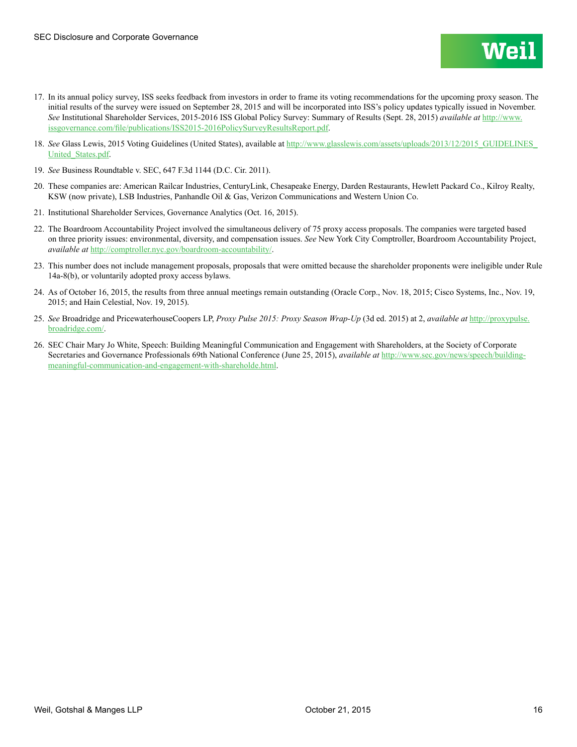- 18. See Glass Lewis, 2015 Voting Guidelines (United States), available at http://www.glasslewis.com/assets/uploads/2013/12/2015\_GUIDELINES [United\\_States.pdf](http://www.glasslewis.com/assets/uploads/2013/12/2015_GUIDELINES_United_States.pdf).
- 19. *See* Business Roundtable v. SEC, 647 F.3d 1144 (D.C. Cir. 2011).
- 20. These companies are: American Railcar Industries, CenturyLink, Chesapeake Energy, Darden Restaurants, Hewlett Packard Co., Kilroy Realty, KSW (now private), LSB Industries, Panhandle Oil & Gas, Verizon Communications and Western Union Co.
- 21. Institutional Shareholder Services, Governance Analytics (Oct. 16, 2015).
- 22. The Boardroom Accountability Project involved the simultaneous delivery of 75 proxy access proposals. The companies were targeted based on three priority issues: environmental, diversity, and compensation issues. *See* New York City Comptroller, Boardroom Accountability Project, *available at* <http://comptroller.nyc.gov/boardroom-accountability/>.
- 23. This number does not include management proposals, proposals that were omitted because the shareholder proponents were ineligible under Rule 14a-8(b), or voluntarily adopted proxy access bylaws.
- 24. As of October 16, 2015, the results from three annual meetings remain outstanding (Oracle Corp., Nov. 18, 2015; Cisco Systems, Inc., Nov. 19, 2015; and Hain Celestial, Nov. 19, 2015).
- 25. *See* Broadridge and PricewaterhouseCoopers LP, *Proxy Pulse 2015: Proxy Season Wrap-Up* (3d ed. 2015) at 2, *available at* [http://proxypulse.](http://proxypulse.broadridge.com/) [broadridge.com/](http://proxypulse.broadridge.com/).
- 26. SEC Chair Mary Jo White, Speech: Building Meaningful Communication and Engagement with Shareholders, at the Society of Corporate Secretaries and Governance Professionals 69th National Conference (June 25, 2015), *available at* [http://www.sec.gov/news/speech/building](http://www.sec.gov/news/speech/building-meaningful-communication-and-engagement-with-shareholde.html)[meaningful-communication-and-engagement-with-shareholde.html](http://www.sec.gov/news/speech/building-meaningful-communication-and-engagement-with-shareholde.html).

Wei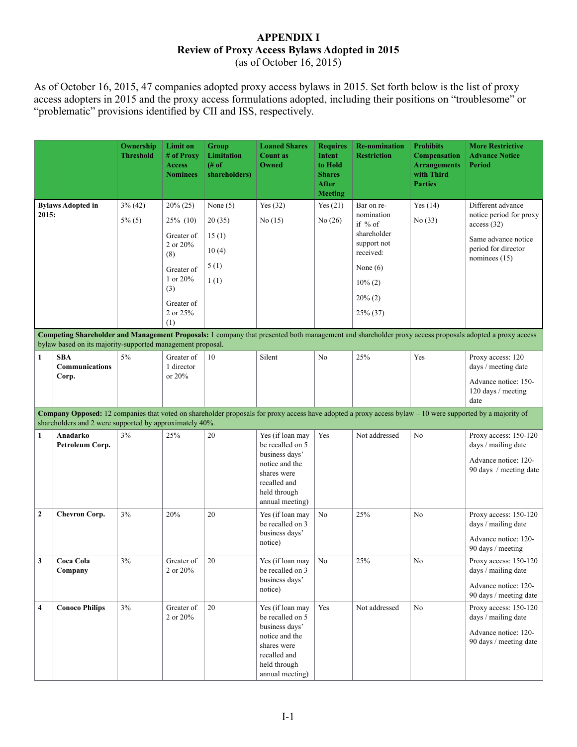#### **APPENDIX I Review of Proxy Access Bylaws Adopted in 2015** (as of October 16, 2015)

As of October 16, 2015, 47 companies adopted proxy access bylaws in 2015. Set forth below is the list of proxy access adopters in 2015 and the proxy access formulations adopted, including their positions on "troublesome" or "problematic" provisions identified by CII and ISS, respectively.

|                |                                                            | Ownership<br><b>Threshold</b> | Limit on<br># of Proxy<br><b>Access</b><br><b>Nominees</b> | Group<br><b>Limitation</b><br># of<br>shareholders) | <b>Loaned Shares</b><br><b>Count as</b><br><b>Owned</b>                                                                                    | <b>Requires</b><br>Intent<br>to Hold<br><b>Shares</b><br>After<br><b>Meeting</b> | <b>Re-nomination</b><br><b>Restriction</b> | <b>Prohibits</b><br><b>Compensation</b><br><b>Arrangements</b><br>with Third<br><b>Parties</b> | <b>More Restrictive</b><br><b>Advance Notice</b><br><b>Period</b>                                                                                         |
|----------------|------------------------------------------------------------|-------------------------------|------------------------------------------------------------|-----------------------------------------------------|--------------------------------------------------------------------------------------------------------------------------------------------|----------------------------------------------------------------------------------|--------------------------------------------|------------------------------------------------------------------------------------------------|-----------------------------------------------------------------------------------------------------------------------------------------------------------|
|                | <b>Bylaws Adopted in</b>                                   | $3\%$ (42)                    | 20% (25)                                                   | None $(5)$                                          | Yes $(32)$                                                                                                                                 | Yes $(21)$                                                                       | Bar on re-                                 | Yes $(14)$                                                                                     | Different advance                                                                                                                                         |
| 2015:          |                                                            | $5\%$ (5)                     | 25% (10)                                                   | 20(35)                                              | No(15)                                                                                                                                     | No $(26)$                                                                        | nomination<br>if % of                      | No(33)                                                                                         | notice period for proxy<br>access (32)                                                                                                                    |
|                |                                                            |                               | Greater of<br>2 or 20%<br>(8)                              | 15(1)<br>10(4)                                      |                                                                                                                                            |                                                                                  | shareholder<br>support not<br>received:    |                                                                                                | Same advance notice<br>period for director<br>nominees $(15)$                                                                                             |
|                |                                                            |                               | Greater of                                                 | 5(1)                                                |                                                                                                                                            |                                                                                  | None $(6)$                                 |                                                                                                |                                                                                                                                                           |
|                |                                                            |                               | 1 or 20%<br>(3)                                            | 1(1)                                                |                                                                                                                                            |                                                                                  | $10\%$ (2)                                 |                                                                                                |                                                                                                                                                           |
|                |                                                            |                               | Greater of                                                 |                                                     |                                                                                                                                            |                                                                                  | $20\%$ (2)                                 |                                                                                                |                                                                                                                                                           |
|                |                                                            |                               | 2 or 25%<br>(1)                                            |                                                     |                                                                                                                                            |                                                                                  | 25% (37)                                   |                                                                                                |                                                                                                                                                           |
|                | bylaw based on its majority-supported management proposal. |                               |                                                            |                                                     |                                                                                                                                            |                                                                                  |                                            |                                                                                                | Competing Shareholder and Management Proposals: 1 company that presented both management and shareholder proxy access proposals adopted a proxy access    |
| $\mathbf{1}$   | <b>SBA</b><br>Communications                               | 5%                            | Greater of<br>1 director                                   | 10                                                  | Silent                                                                                                                                     | No                                                                               | 25%                                        | Yes                                                                                            | Proxy access: 120<br>days / meeting date                                                                                                                  |
|                | Corp.                                                      |                               | or 20%                                                     |                                                     |                                                                                                                                            |                                                                                  |                                            |                                                                                                | Advance notice: 150-<br>120 days / meeting<br>date                                                                                                        |
|                |                                                            |                               |                                                            |                                                     |                                                                                                                                            |                                                                                  |                                            |                                                                                                | Company Opposed: 12 companies that voted on shareholder proposals for proxy access have adopted a proxy access bylaw - 10 were supported by a majority of |
|                | shareholders and 2 were supported by approximately 40%.    |                               |                                                            |                                                     |                                                                                                                                            |                                                                                  |                                            |                                                                                                |                                                                                                                                                           |
| 1              | Anadarko<br>Petroleum Corp.                                | 3%                            | 25%                                                        | 20                                                  | Yes (if loan may<br>be recalled on 5<br>business days'<br>notice and the<br>shares were<br>recalled and<br>held through<br>annual meeting) | Yes                                                                              | Not addressed                              | No                                                                                             | Proxy access: 150-120<br>days / mailing date<br>Advance notice: 120-<br>90 days / meeting date                                                            |
| $\overline{2}$ | <b>Chevron Corp.</b>                                       | 3%                            | 20%                                                        | 20                                                  | Yes (if loan may<br>be recalled on 3<br>business days'<br>notice)                                                                          | No                                                                               | 25%                                        | No                                                                                             | Proxy access: 150-120<br>days / mailing date<br>Advance notice: 120-                                                                                      |
| 3              | Coca Cola<br>Company                                       | $3\%$                         | Greater of<br>2 or 20%                                     | 20                                                  | Yes (if loan may<br>be recalled on 3<br>business days'                                                                                     | No                                                                               | $25\%$                                     | No                                                                                             | 90 days / meeting<br>Proxy access: 150-120<br>days / mailing date                                                                                         |
|                |                                                            |                               |                                                            |                                                     | notice)                                                                                                                                    |                                                                                  |                                            |                                                                                                | Advance notice: 120-<br>90 days / meeting date                                                                                                            |
| 4              | <b>Conoco Philips</b>                                      | 3%                            | Greater of<br>2 or 20%                                     | 20                                                  | Yes (if loan may<br>be recalled on 5<br>business days'<br>notice and the<br>shares were<br>recalled and<br>held through<br>annual meeting) | Yes                                                                              | Not addressed                              | No                                                                                             | Proxy access: 150-120<br>days / mailing date<br>Advance notice: 120-<br>90 days / meeting date                                                            |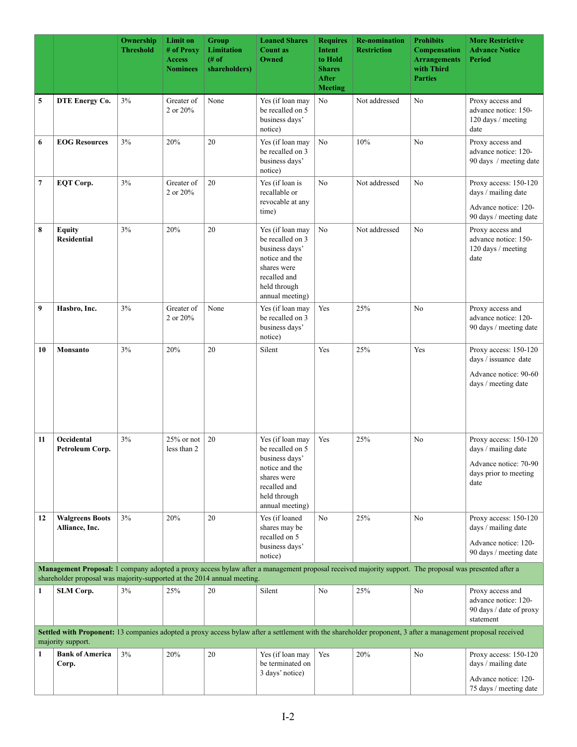|    |                                                                                                                                                                                                                                  | Ownership<br><b>Threshold</b> | <b>Limit on</b><br># of Proxy<br><b>Access</b><br><b>Nominees</b> | Group<br><b>Limitation</b><br># of<br>shareholders) | <b>Loaned Shares</b><br><b>Count as</b><br>Owned                                                                                           | <b>Requires</b><br>Intent<br>to Hold<br><b>Shares</b><br><b>After</b><br><b>Meeting</b> | <b>Re-nomination</b><br><b>Restriction</b> | <b>Prohibits</b><br><b>Compensation</b><br><b>Arrangements</b><br>with Third<br><b>Parties</b> | <b>More Restrictive</b><br><b>Advance Notice</b><br><b>Period</b>                                      |
|----|----------------------------------------------------------------------------------------------------------------------------------------------------------------------------------------------------------------------------------|-------------------------------|-------------------------------------------------------------------|-----------------------------------------------------|--------------------------------------------------------------------------------------------------------------------------------------------|-----------------------------------------------------------------------------------------|--------------------------------------------|------------------------------------------------------------------------------------------------|--------------------------------------------------------------------------------------------------------|
| 5  | <b>DTE Energy Co.</b>                                                                                                                                                                                                            | 3%                            | Greater of<br>2 or 20%                                            | None                                                | Yes (if loan may<br>be recalled on 5<br>business days'<br>notice)                                                                          | No                                                                                      | Not addressed                              | N <sub>0</sub>                                                                                 | Proxy access and<br>advance notice: 150-<br>120 days / meeting<br>date                                 |
| 6  | <b>EOG Resources</b>                                                                                                                                                                                                             | $3\%$                         | 20%                                                               | 20                                                  | Yes (if loan may<br>be recalled on 3<br>business days'<br>notice)                                                                          | N <sub>0</sub>                                                                          | 10%                                        | N <sub>0</sub>                                                                                 | Proxy access and<br>advance notice: 120-<br>90 days / meeting date                                     |
| 7  | <b>EQT Corp.</b>                                                                                                                                                                                                                 | 3%                            | Greater of<br>$2$ or $20\%$                                       | 20                                                  | Yes (if loan is<br>recallable or<br>revocable at any<br>time)                                                                              | No                                                                                      | Not addressed                              | No                                                                                             | Proxy access: 150-120<br>days / mailing date<br>Advance notice: 120-<br>90 days / meeting date         |
| 8  | <b>Equity</b><br><b>Residential</b>                                                                                                                                                                                              | 3%                            | 20%                                                               | 20                                                  | Yes (if loan may<br>be recalled on 3<br>business days'<br>notice and the<br>shares were<br>recalled and<br>held through<br>annual meeting) | No                                                                                      | Not addressed                              | N <sub>0</sub>                                                                                 | Proxy access and<br>advance notice: 150-<br>120 days / meeting<br>date                                 |
| 9  | Hasbro, Inc.                                                                                                                                                                                                                     | 3%                            | Greater of<br>2 or 20%                                            | None                                                | Yes (if loan may<br>be recalled on 3<br>business days'<br>notice)                                                                          | Yes                                                                                     | 25%                                        | No                                                                                             | Proxy access and<br>advance notice: 120-<br>90 days / meeting date                                     |
| 10 | Monsanto                                                                                                                                                                                                                         | 3%                            | 20%                                                               | 20                                                  | Silent                                                                                                                                     | Yes                                                                                     | 25%                                        | Yes                                                                                            | Proxy access: 150-120<br>days / issuance date<br>Advance notice: 90-60<br>days / meeting date          |
| 11 | Occidental<br>Petroleum Corp.                                                                                                                                                                                                    | 3%                            | $25%$ or not<br>less than 2                                       | 20                                                  | Yes (if loan may<br>be recalled on 5<br>business days<br>notice and the<br>shares were<br>recalled and<br>held through<br>annual meeting)  | Yes                                                                                     | 25%                                        | No                                                                                             | Proxy access: 150-120<br>days / mailing date<br>Advance notice: 70-90<br>days prior to meeting<br>date |
| 12 | <b>Walgreens Boots</b><br>Alliance, Inc.                                                                                                                                                                                         | 3%                            | 20%                                                               | 20                                                  | Yes (if loaned<br>shares may be<br>recalled on 5<br>business days'<br>notice)                                                              | No                                                                                      | 25%                                        | N <sub>0</sub>                                                                                 | Proxy access: 150-120<br>days / mailing date<br>Advance notice: 120-<br>90 days / meeting date         |
|    | Management Proposal: 1 company adopted a proxy access bylaw after a management proposal received majority support. The proposal was presented after a<br>shareholder proposal was majority-supported at the 2014 annual meeting. |                               |                                                                   |                                                     |                                                                                                                                            |                                                                                         |                                            |                                                                                                |                                                                                                        |
| 1  | <b>SLM Corp.</b>                                                                                                                                                                                                                 | 3%                            | 25%                                                               | 20                                                  | Silent                                                                                                                                     | No                                                                                      | 25%                                        | No                                                                                             | Proxy access and<br>advance notice: 120-<br>90 days / date of proxy<br>statement                       |
|    | Settled with Proponent: 13 companies adopted a proxy access bylaw after a settlement with the shareholder proponent, 3 after a management proposal received<br>majority support.                                                 |                               |                                                                   |                                                     |                                                                                                                                            |                                                                                         |                                            |                                                                                                |                                                                                                        |
| 1  | <b>Bank of America</b><br>Corp.                                                                                                                                                                                                  | 3%                            | 20%                                                               | 20                                                  | Yes (if loan may<br>be terminated on<br>3 days' notice)                                                                                    | Yes                                                                                     | 20%                                        | No                                                                                             | Proxy access: 150-120<br>days / mailing date<br>Advance notice: 120-<br>75 days / meeting date         |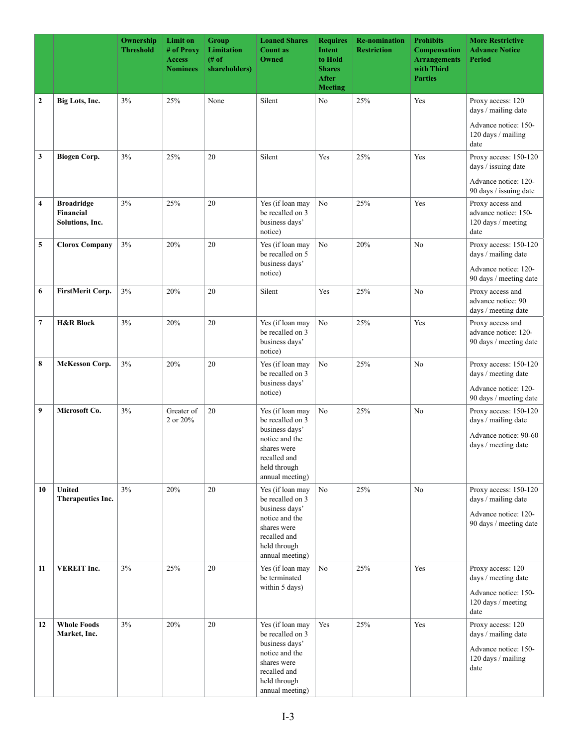|                |                                                   | Ownership<br><b>Threshold</b> | <b>Limit on</b><br># of Proxy<br><b>Access</b><br><b>Nominees</b> | <b>Group</b><br><b>Limitation</b><br># of<br>shareholders) | <b>Loaned Shares</b><br><b>Count as</b><br><b>Owned</b>                                                                                    | <b>Requires</b><br>Intent<br>to Hold<br><b>Shares</b><br><b>After</b><br><b>Meeting</b> | <b>Re-nomination</b><br><b>Restriction</b> | <b>Prohibits</b><br><b>Compensation</b><br><b>Arrangements</b><br>with Third<br><b>Parties</b> | <b>More Restrictive</b><br><b>Advance Notice</b><br><b>Period</b>                              |
|----------------|---------------------------------------------------|-------------------------------|-------------------------------------------------------------------|------------------------------------------------------------|--------------------------------------------------------------------------------------------------------------------------------------------|-----------------------------------------------------------------------------------------|--------------------------------------------|------------------------------------------------------------------------------------------------|------------------------------------------------------------------------------------------------|
| $\mathbf{2}$   | Big Lots, Inc.                                    | 3%                            | 25%                                                               | None                                                       | Silent                                                                                                                                     | No                                                                                      | 25%                                        | Yes                                                                                            | Proxy access: 120<br>days / mailing date                                                       |
|                |                                                   |                               |                                                                   |                                                            |                                                                                                                                            |                                                                                         |                                            |                                                                                                | Advance notice: 150-<br>120 days / mailing<br>date                                             |
| 3              | <b>Biogen Corp.</b>                               | 3%                            | 25%                                                               | 20                                                         | Silent                                                                                                                                     | Yes                                                                                     | 25%                                        | Yes                                                                                            | Proxy access: 150-120<br>days / issuing date                                                   |
|                |                                                   |                               |                                                                   |                                                            |                                                                                                                                            |                                                                                         |                                            |                                                                                                | Advance notice: 120-<br>90 days / issuing date                                                 |
| 4              | <b>Broadridge</b><br>Financial<br>Solutions, Inc. | 3%                            | 25%                                                               | 20                                                         | Yes (if loan may<br>be recalled on 3<br>business days'<br>notice)                                                                          | No                                                                                      | 25%                                        | Yes                                                                                            | Proxy access and<br>advance notice: 150-<br>120 days / meeting<br>date                         |
| 5              | <b>Clorox Company</b>                             | 3%                            | 20%                                                               | 20                                                         | Yes (if loan may<br>be recalled on 5<br>business days'<br>notice)                                                                          | N <sub>o</sub>                                                                          | 20%                                        | N <sub>o</sub>                                                                                 | Proxy access: 150-120<br>days / mailing date<br>Advance notice: 120-                           |
|                |                                                   |                               |                                                                   |                                                            |                                                                                                                                            |                                                                                         |                                            |                                                                                                | 90 days / meeting date                                                                         |
| 6              | <b>FirstMerit Corp.</b>                           | 3%                            | 20%                                                               | 20                                                         | Silent                                                                                                                                     | Yes                                                                                     | 25%                                        | N <sub>0</sub>                                                                                 | Proxy access and<br>advance notice: 90<br>days / meeting date                                  |
| $\overline{7}$ | <b>H&amp;R Block</b>                              | 3%                            | 20%                                                               | 20                                                         | Yes (if loan may<br>be recalled on 3<br>business days'<br>notice)                                                                          | No                                                                                      | 25%                                        | Yes                                                                                            | Proxy access and<br>advance notice: 120-<br>90 days / meeting date                             |
| 8              | <b>McKesson Corp.</b>                             | 3%                            | 20%                                                               | 20                                                         | Yes (if loan may<br>be recalled on 3<br>business days'<br>notice)                                                                          | No                                                                                      | 25%                                        | No                                                                                             | Proxy access: 150-120<br>days / meeting date<br>Advance notice: 120-<br>90 days / meeting date |
| 9              | Microsoft Co.                                     | 3%                            | Greater of<br>2 or 20%                                            | 20                                                         | Yes (if loan may<br>be recalled on 3<br>business days'<br>notice and the<br>shares were<br>recalled and<br>held through<br>annual meeting) | No                                                                                      | 25%                                        | N <sub>0</sub>                                                                                 | Proxy access: 150-120<br>days / mailing date<br>Advance notice: 90-60<br>days / meeting date   |
| 10             | United<br>Therapeutics Inc.                       | 3%                            | 20%                                                               | 20                                                         | Yes (if loan may<br>be recalled on 3<br>business days'<br>notice and the<br>shares were<br>recalled and<br>held through<br>annual meeting) | No                                                                                      | 25%                                        | No                                                                                             | Proxy access: 150-120<br>days / mailing date<br>Advance notice: 120-<br>90 days / meeting date |
| 11             | <b>VEREIT Inc.</b>                                | 3%                            | 25%                                                               | 20                                                         | Yes (if loan may<br>be terminated<br>within 5 days)                                                                                        | No                                                                                      | 25%                                        | Yes                                                                                            | Proxy access: 120<br>days / meeting date<br>Advance notice: 150-<br>120 days / meeting<br>date |
| 12             | <b>Whole Foods</b><br>Market, Inc.                | 3%                            | 20%                                                               | 20                                                         | Yes (if loan may<br>be recalled on 3<br>business days'<br>notice and the<br>shares were<br>recalled and<br>held through<br>annual meeting) | Yes                                                                                     | 25%                                        | Yes                                                                                            | Proxy access: 120<br>days / mailing date<br>Advance notice: 150-<br>120 days / mailing<br>date |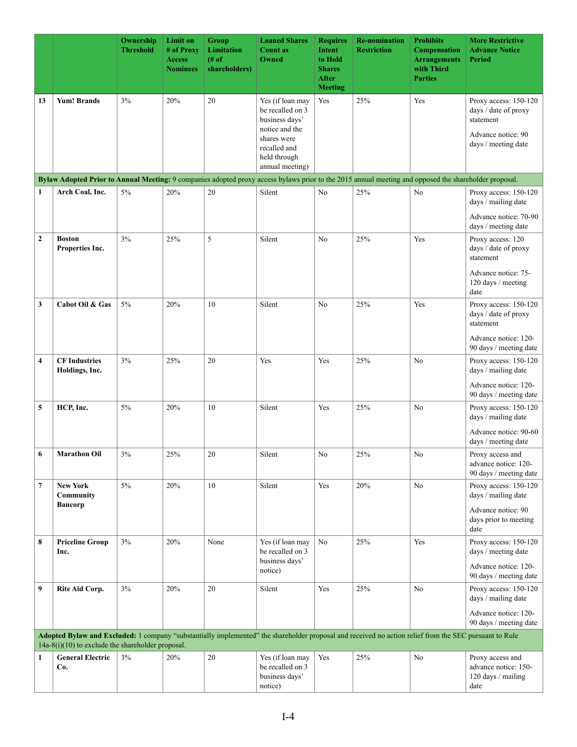|              |                                                                                                                                                                                                               | Ownership<br><b>Threshold</b> | <b>Limit on</b><br># of Proxy<br><b>Access</b><br><b>Nominees</b> | <b>Group</b><br>Limitation<br># of<br>shareholders) | <b>Loaned Shares</b><br><b>Count as</b><br>Owned                                        | <b>Requires</b><br>Intent<br>to Hold<br><b>Shares</b><br>After<br><b>Meeting</b> | <b>Re-nomination</b><br><b>Restriction</b> | <b>Prohibits</b><br><b>Compensation</b><br><b>Arrangements</b><br>with Third<br><b>Parties</b> | <b>More Restrictive</b><br><b>Advance Notice</b><br><b>Period</b>                |
|--------------|---------------------------------------------------------------------------------------------------------------------------------------------------------------------------------------------------------------|-------------------------------|-------------------------------------------------------------------|-----------------------------------------------------|-----------------------------------------------------------------------------------------|----------------------------------------------------------------------------------|--------------------------------------------|------------------------------------------------------------------------------------------------|----------------------------------------------------------------------------------|
| 13           | <b>Yum! Brands</b>                                                                                                                                                                                            | 3%                            | 20%                                                               | 20                                                  | Yes (if loan may<br>be recalled on 3<br>business days'<br>notice and the<br>shares were | Yes                                                                              | 25%                                        | Yes                                                                                            | Proxy access: 150-120<br>days / date of proxy<br>statement<br>Advance notice: 90 |
|              |                                                                                                                                                                                                               |                               |                                                                   |                                                     | recalled and<br>held through<br>annual meeting)                                         |                                                                                  |                                            |                                                                                                | days / meeting date                                                              |
|              | Bylaw Adopted Prior to Annual Meeting: 9 companies adopted proxy access bylaws prior to the 2015 annual meeting and opposed the shareholder proposal.                                                         |                               |                                                                   |                                                     |                                                                                         |                                                                                  |                                            |                                                                                                |                                                                                  |
| 1            | Arch Coal, Inc.                                                                                                                                                                                               | $5\%$                         | 20%                                                               | 20                                                  | Silent                                                                                  | No                                                                               | 25%                                        | No                                                                                             | Proxy access: 150-120<br>days / mailing date                                     |
|              |                                                                                                                                                                                                               |                               |                                                                   |                                                     |                                                                                         |                                                                                  |                                            |                                                                                                | Advance notice: 70-90<br>days / meeting date                                     |
| $\mathbf{2}$ | <b>Boston</b><br>Properties Inc.                                                                                                                                                                              | 3%                            | 25%                                                               | 5                                                   | Silent                                                                                  | No                                                                               | 25%                                        | Yes                                                                                            | Proxy access: 120<br>days / date of proxy<br>statement                           |
|              |                                                                                                                                                                                                               |                               |                                                                   |                                                     |                                                                                         |                                                                                  |                                            |                                                                                                | Advance notice: 75-<br>120 days / meeting<br>date                                |
| 3            | Cabot Oil & Gas                                                                                                                                                                                               | 5%                            | 20%                                                               | 10                                                  | Silent                                                                                  | No                                                                               | 25%                                        | Yes                                                                                            | Proxy access: 150-120<br>days / date of proxy<br>statement                       |
|              |                                                                                                                                                                                                               |                               |                                                                   |                                                     |                                                                                         |                                                                                  |                                            |                                                                                                | Advance notice: 120-<br>90 days / meeting date                                   |
| 4            | <b>CF</b> Industries<br>Holdings, Inc.                                                                                                                                                                        | 3%                            | 25%                                                               | 20                                                  | Yes                                                                                     | Yes                                                                              | 25%                                        | No                                                                                             | Proxy access: 150-120<br>days / mailing date<br>Advance notice: 120-             |
| 5            | HCP, Inc.                                                                                                                                                                                                     | 5%                            | 20%                                                               | 10                                                  | Silent                                                                                  | Yes                                                                              | 25%                                        | No                                                                                             | 90 days / meeting date<br>Proxy access: 150-120                                  |
|              |                                                                                                                                                                                                               |                               |                                                                   |                                                     |                                                                                         |                                                                                  |                                            |                                                                                                | days / mailing date<br>Advance notice: 90-60<br>days / meeting date              |
| 6            | <b>Marathon Oil</b>                                                                                                                                                                                           | 3%                            | 25%                                                               | 20                                                  | Silent                                                                                  | No                                                                               | 25%                                        | No                                                                                             | Proxy access and<br>advance notice: 120-<br>90 days / meeting date               |
| 7            | <b>New York</b><br>Community<br><b>Bancorp</b>                                                                                                                                                                | $5\%$                         | 20%                                                               | 10                                                  | Silent                                                                                  | Yes                                                                              | 20%                                        | N <sub>o</sub>                                                                                 | Proxy access: 150-120<br>days / mailing date                                     |
|              |                                                                                                                                                                                                               |                               |                                                                   |                                                     |                                                                                         |                                                                                  |                                            |                                                                                                | Advance notice: 90<br>days prior to meeting<br>date                              |
| 8            | <b>Priceline Group</b><br>Inc.                                                                                                                                                                                | 3%                            | 20%                                                               | None                                                | Yes (if loan may<br>be recalled on 3<br>business days'                                  | No                                                                               | 25%                                        | Yes                                                                                            | Proxy access: 150-120<br>days / meeting date                                     |
|              |                                                                                                                                                                                                               |                               |                                                                   |                                                     | notice)                                                                                 |                                                                                  |                                            |                                                                                                | Advance notice: 120-<br>90 days / meeting date                                   |
| 9            | Rite Aid Corp.                                                                                                                                                                                                | $3\%$                         | 20%                                                               | 20                                                  | Silent                                                                                  | Yes                                                                              | 25%                                        | N <sub>o</sub>                                                                                 | Proxy access: 150-120<br>days / mailing date                                     |
|              |                                                                                                                                                                                                               |                               |                                                                   |                                                     |                                                                                         |                                                                                  |                                            |                                                                                                | Advance notice: 120-<br>90 days / meeting date                                   |
|              | Adopted Bylaw and Excluded: 1 company "substantially implemented" the shareholder proposal and received no action relief from the SEC pursuant to Rule<br>$14a-8(i)(10)$ to exclude the shareholder proposal. |                               |                                                                   |                                                     |                                                                                         |                                                                                  |                                            |                                                                                                |                                                                                  |
| 1            | <b>General Electric</b>                                                                                                                                                                                       | 3%                            | 20%                                                               | 20                                                  | Yes (if loan may                                                                        | Yes                                                                              | 25%                                        | No                                                                                             | Proxy access and                                                                 |
|              | Co.                                                                                                                                                                                                           |                               |                                                                   |                                                     | be recalled on 3<br>business days'<br>notice)                                           |                                                                                  |                                            |                                                                                                | advance notice: 150-<br>120 days / mailing<br>date                               |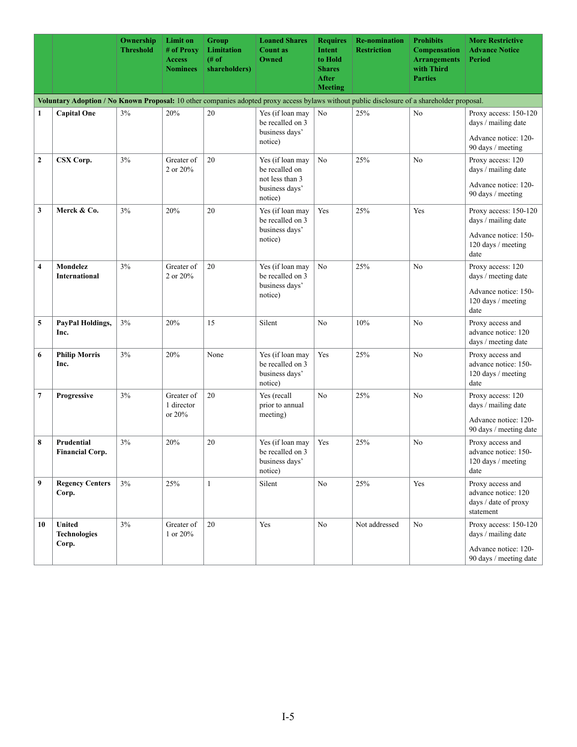|                  |                                                                                                                                             | Ownership<br>Threshold | Limit on<br># of Proxy<br><b>Access</b><br><b>Nominees</b> | Group<br>Limitation<br># of<br>shareholders) | <b>Loaned Shares</b><br><b>Count as</b><br><b>Owned</b>                            | <b>Requires</b><br>Intent<br>to Hold<br><b>Shares</b><br>After<br><b>Meeting</b> | <b>Re-nomination</b><br><b>Restriction</b> | <b>Prohibits</b><br><b>Compensation</b><br><b>Arrangements</b><br>with Third<br><b>Parties</b> | <b>More Restrictive</b><br><b>Advance Notice</b><br><b>Period</b>                                  |  |  |  |  |
|------------------|---------------------------------------------------------------------------------------------------------------------------------------------|------------------------|------------------------------------------------------------|----------------------------------------------|------------------------------------------------------------------------------------|----------------------------------------------------------------------------------|--------------------------------------------|------------------------------------------------------------------------------------------------|----------------------------------------------------------------------------------------------------|--|--|--|--|
|                  | Voluntary Adoption / No Known Proposal: 10 other companies adopted proxy access bylaws without public disclosure of a shareholder proposal. |                        |                                                            |                                              |                                                                                    |                                                                                  |                                            |                                                                                                |                                                                                                    |  |  |  |  |
| 1                | <b>Capital One</b>                                                                                                                          | $3\%$                  | 20%                                                        | 20                                           | Yes (if loan may<br>be recalled on 3<br>business days'<br>notice)                  | No                                                                               | 25%                                        | No                                                                                             | Proxy access: 150-120<br>days / mailing date<br>Advance notice: 120-<br>90 days / meeting          |  |  |  |  |
| $\boldsymbol{2}$ | CSX Corp.                                                                                                                                   | 3%                     | Greater of<br>2 or 20%                                     | 20                                           | Yes (if loan may<br>be recalled on<br>not less than 3<br>business days'<br>notice) | No                                                                               | 25%                                        | N <sub>o</sub>                                                                                 | Proxy access: 120<br>days / mailing date<br>Advance notice: 120-<br>90 days / meeting              |  |  |  |  |
| 3                | Merck & Co.                                                                                                                                 | 3%                     | 20%                                                        | 20                                           | Yes (if loan may<br>be recalled on 3<br>business days'<br>notice)                  | Yes                                                                              | 25%                                        | Yes                                                                                            | Proxy access: 150-120<br>days / mailing date<br>Advance notice: 150-<br>120 days / meeting<br>date |  |  |  |  |
| 4                | Mondelez<br><b>International</b>                                                                                                            | 3%                     | Greater of<br>2 or 20%                                     | 20                                           | Yes (if loan may<br>be recalled on 3<br>business days'<br>notice)                  | No                                                                               | 25%                                        | N <sub>0</sub>                                                                                 | Proxy access: 120<br>days / meeting date<br>Advance notice: 150-<br>120 days / meeting<br>date     |  |  |  |  |
| 5                | PayPal Holdings,<br>Inc.                                                                                                                    | 3%                     | 20%                                                        | 15                                           | Silent                                                                             | No                                                                               | 10%                                        | No                                                                                             | Proxy access and<br>advance notice: 120<br>days / meeting date                                     |  |  |  |  |
| 6                | <b>Philip Morris</b><br>Inc.                                                                                                                | 3%                     | 20%                                                        | None                                         | Yes (if loan may<br>be recalled on 3<br>business days'<br>notice)                  | Yes                                                                              | 25%                                        | N <sub>0</sub>                                                                                 | Proxy access and<br>advance notice: 150-<br>120 days / meeting<br>date                             |  |  |  |  |
| 7                | Progressive                                                                                                                                 | 3%                     | Greater of<br>1 director<br>or 20%                         | 20                                           | Yes (recall<br>prior to annual<br>meeting)                                         | N <sub>o</sub>                                                                   | 25%                                        | No                                                                                             | Proxy access: 120<br>days / mailing date<br>Advance notice: 120-<br>90 days / meeting date         |  |  |  |  |
| 8                | Prudential<br><b>Financial Corp.</b>                                                                                                        | 3%                     | 20%                                                        | 20                                           | Yes (if loan may<br>be recalled on 3<br>business days'<br>notice)                  | Yes                                                                              | 25%                                        | N <sub>0</sub>                                                                                 | Proxy access and<br>advance notice: 150-<br>120 days / meeting<br>date                             |  |  |  |  |
| 9                | <b>Regency Centers</b><br>Corp.                                                                                                             | 3%                     | 25%                                                        | $\mathbf{1}$                                 | Silent                                                                             | N <sub>o</sub>                                                                   | 25%                                        | Yes                                                                                            | Proxy access and<br>advance notice: 120<br>days / date of proxy<br>statement                       |  |  |  |  |
| 10               | United<br><b>Technologies</b><br>Corp.                                                                                                      | 3%                     | Greater of<br>1 or 20%                                     | 20                                           | Yes                                                                                | No                                                                               | Not addressed                              | No                                                                                             | Proxy access: 150-120<br>days / mailing date                                                       |  |  |  |  |
|                  |                                                                                                                                             |                        |                                                            |                                              |                                                                                    |                                                                                  |                                            |                                                                                                | Advance notice: 120-<br>90 days / meeting date                                                     |  |  |  |  |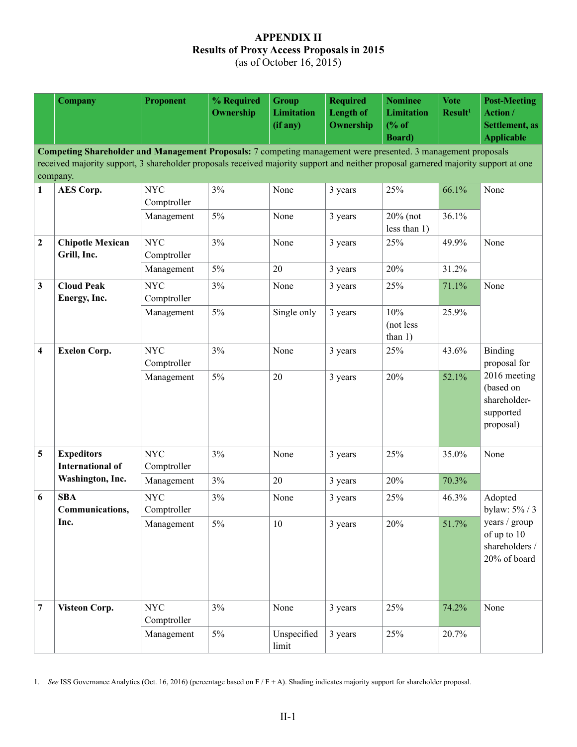#### **APPENDIX II Results of Proxy Access Proposals in 2015** (as of October 16, 2015)

|                  | <b>Company</b>                                                                                                                                                                                                                                                  | <b>Proponent</b>                        | % Required<br>Ownership | <b>Group</b><br><b>Limitation</b><br>(if any) | <b>Required</b><br><b>Length of</b><br>Ownership | <b>Nominee</b><br><b>Limitation</b><br>% of<br><b>Board</b> ) | <b>Vote</b><br>Result <sup>1</sup> | <b>Post-Meeting</b><br>Action /<br><b>Settlement</b> , as<br><b>Applicable</b> |  |  |  |
|------------------|-----------------------------------------------------------------------------------------------------------------------------------------------------------------------------------------------------------------------------------------------------------------|-----------------------------------------|-------------------------|-----------------------------------------------|--------------------------------------------------|---------------------------------------------------------------|------------------------------------|--------------------------------------------------------------------------------|--|--|--|
|                  | Competing Shareholder and Management Proposals: 7 competing management were presented. 3 management proposals<br>received majority support, 3 shareholder proposals received majority support and neither proposal garnered majority support at one<br>company. |                                         |                         |                                               |                                                  |                                                               |                                    |                                                                                |  |  |  |
| 1                | <b>AES Corp.</b>                                                                                                                                                                                                                                                | <b>NYC</b><br>Comptroller<br>Management | 3%<br>5%                | None<br>None                                  | 3 years<br>3 years                               | 25%<br>$20\%$ (not                                            | 66.1%<br>36.1%                     | None                                                                           |  |  |  |
|                  |                                                                                                                                                                                                                                                                 |                                         |                         |                                               |                                                  | less than $1)$                                                |                                    |                                                                                |  |  |  |
| $\boldsymbol{2}$ | <b>Chipotle Mexican</b><br>Grill, Inc.                                                                                                                                                                                                                          | <b>NYC</b><br>Comptroller               | 3%                      | None                                          | 3 years                                          | 25%                                                           | 49.9%                              | None                                                                           |  |  |  |
|                  |                                                                                                                                                                                                                                                                 | Management                              | $5\%$                   | 20                                            | 3 years                                          | 20%                                                           | 31.2%                              |                                                                                |  |  |  |
| 3                | <b>Cloud Peak</b><br>Energy, Inc.                                                                                                                                                                                                                               | <b>NYC</b><br>Comptroller               | 3%                      | None                                          | 3 years                                          | 25%                                                           | 71.1%                              | None                                                                           |  |  |  |
|                  |                                                                                                                                                                                                                                                                 | Management                              | 5%                      | Single only                                   | 3 years                                          | 10%<br>(not less<br>than $1)$                                 | 25.9%                              |                                                                                |  |  |  |
| 4                | <b>Exelon Corp.</b>                                                                                                                                                                                                                                             | <b>NYC</b><br>Comptroller               | 3%                      | None                                          | 3 years                                          | 25%                                                           | 43.6%                              | <b>Binding</b><br>proposal for                                                 |  |  |  |
|                  |                                                                                                                                                                                                                                                                 | Management                              | 5%                      | 20                                            | 3 years                                          | 20%                                                           | 52.1%                              | 2016 meeting<br>(based on<br>shareholder-<br>supported<br>proposal)            |  |  |  |
| 5                | <b>Expeditors</b><br><b>International of</b>                                                                                                                                                                                                                    | <b>NYC</b><br>Comptroller               | 3%                      | None                                          | 3 years                                          | 25%                                                           | 35.0%                              | None                                                                           |  |  |  |
|                  | Washington, Inc.                                                                                                                                                                                                                                                | Management                              | 3%                      | 20                                            | 3 years                                          | 20%                                                           | 70.3%                              |                                                                                |  |  |  |
| 6                | <b>SBA</b><br>Communications,                                                                                                                                                                                                                                   | <b>NYC</b><br>Comptroller               | 3%                      | None                                          | 3 years                                          | 25%                                                           | 46.3%                              | Adopted<br>bylaw: $5\%$ / 3                                                    |  |  |  |
|                  | Inc.                                                                                                                                                                                                                                                            | Management                              | $5\%$                   | 10                                            | 3 years                                          | 20%                                                           | 51.7%                              | years / group<br>of up to 10<br>shareholders /<br>20% of board                 |  |  |  |
| 7                | Visteon Corp.                                                                                                                                                                                                                                                   | <b>NYC</b><br>Comptroller               | 3%                      | None                                          | 3 years                                          | 25%                                                           | 74.2%                              | None                                                                           |  |  |  |
|                  |                                                                                                                                                                                                                                                                 | Management                              | $5\%$                   | Unspecified<br>limit                          | 3 years                                          | 25%                                                           | 20.7%                              |                                                                                |  |  |  |

1. *See* ISS Governance Analytics (Oct. 16, 2016) (percentage based on F / F + A). Shading indicates majority support for shareholder proposal.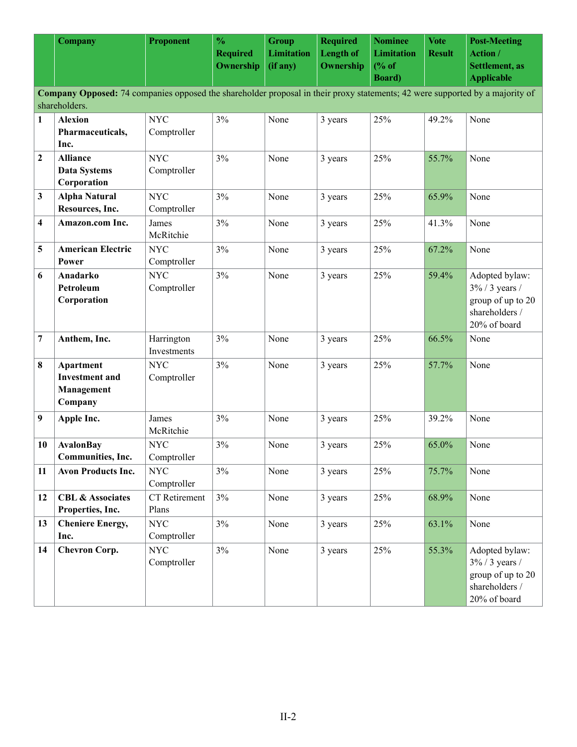|                  | <b>Company</b>                                                                                                                                       | Proponent                                | $\frac{0}{0}$<br><b>Required</b><br>Ownership | <b>Group</b><br><b>Limitation</b><br>(if any) | <b>Required</b><br><b>Length of</b><br><b>Ownership</b> | <b>Nominee</b><br><b>Limitation</b><br>% of<br><b>Board</b> ) | <b>Vote</b><br><b>Result</b> | <b>Post-Meeting</b><br><b>Action</b> /<br><b>Settlement</b> , as<br><b>Applicable</b>      |  |  |  |  |
|------------------|------------------------------------------------------------------------------------------------------------------------------------------------------|------------------------------------------|-----------------------------------------------|-----------------------------------------------|---------------------------------------------------------|---------------------------------------------------------------|------------------------------|--------------------------------------------------------------------------------------------|--|--|--|--|
|                  | <b>Company Opposed:</b> 74 companies opposed the shareholder proposal in their proxy statements; 42 were supported by a majority of<br>shareholders. |                                          |                                               |                                               |                                                         |                                                               |                              |                                                                                            |  |  |  |  |
| 1                | <b>Alexion</b><br>Pharmaceuticals,<br>Inc.                                                                                                           | <b>NYC</b><br>Comptroller                | 3%                                            | None                                          | 3 years                                                 | 25%                                                           | 49.2%                        | None                                                                                       |  |  |  |  |
| $\boldsymbol{2}$ | <b>Alliance</b><br><b>Data Systems</b><br>Corporation                                                                                                | <b>NYC</b><br>Comptroller                | 3%                                            | None                                          | 3 years                                                 | 25%                                                           | 55.7%                        | None                                                                                       |  |  |  |  |
| 3                | <b>Alpha Natural</b><br>Resources, Inc.                                                                                                              | <b>NYC</b><br>Comptroller                | 3%                                            | None                                          | 3 years                                                 | 25%                                                           | 65.9%                        | None                                                                                       |  |  |  |  |
| 4                | Amazon.com Inc.                                                                                                                                      | James<br>McRitchie                       | 3%                                            | None                                          | 3 years                                                 | 25%                                                           | 41.3%                        | None                                                                                       |  |  |  |  |
| 5                | <b>American Electric</b><br>Power                                                                                                                    | <b>NYC</b><br>Comptroller                | 3%                                            | None                                          | 3 years                                                 | 25%                                                           | 67.2%                        | None                                                                                       |  |  |  |  |
| 6                | Anadarko<br>Petroleum<br>Corporation                                                                                                                 | <b>NYC</b><br>Comptroller                | 3%                                            | None                                          | 3 years                                                 | 25%                                                           | 59.4%                        | Adopted bylaw:<br>$3\%$ / 3 years /<br>group of up to 20<br>shareholders /<br>20% of board |  |  |  |  |
| 7                | Anthem, Inc.                                                                                                                                         | Harrington<br>Investments                | 3%                                            | None                                          | 3 years                                                 | 25%                                                           | 66.5%                        | None                                                                                       |  |  |  |  |
| 8                | Apartment<br><b>Investment</b> and<br>Management<br>Company                                                                                          | <b>NYC</b><br>Comptroller                | 3%                                            | None                                          | 3 years                                                 | 25%                                                           | 57.7%                        | None                                                                                       |  |  |  |  |
| 9                | Apple Inc.                                                                                                                                           | James<br>McRitchie                       | 3%                                            | None                                          | 3 years                                                 | 25%                                                           | 39.2%                        | None                                                                                       |  |  |  |  |
| 10               | <b>AvalonBay</b><br>Communities, Inc.                                                                                                                | <b>NYC</b><br>Comptroller                | 3%                                            | None                                          | 3 years                                                 | 25%                                                           | 65.0%                        | None                                                                                       |  |  |  |  |
| 11               | <b>Avon Products Inc.</b>                                                                                                                            | <b>NYC</b><br>Comptroller                | 3%                                            | None                                          | 3 years                                                 | 25%                                                           | 75.7%                        | None                                                                                       |  |  |  |  |
| 12               | <b>CBL &amp; Associates</b><br>Properties, Inc.                                                                                                      | CT Retirement<br>Plans                   | 3%                                            | None                                          | 3 years                                                 | 25%                                                           | 68.9%                        | None                                                                                       |  |  |  |  |
| 13               | <b>Cheniere Energy,</b><br>Inc.                                                                                                                      | $\ensuremath{\text{NYC}}$<br>Comptroller | 3%                                            | None                                          | 3 years                                                 | 25%                                                           | 63.1%                        | None                                                                                       |  |  |  |  |
| 14               | <b>Chevron Corp.</b>                                                                                                                                 | <b>NYC</b><br>Comptroller                | 3%                                            | None                                          | 3 years                                                 | 25%                                                           | 55.3%                        | Adopted bylaw:<br>$3\%$ / 3 years /<br>group of up to 20<br>shareholders /<br>20% of board |  |  |  |  |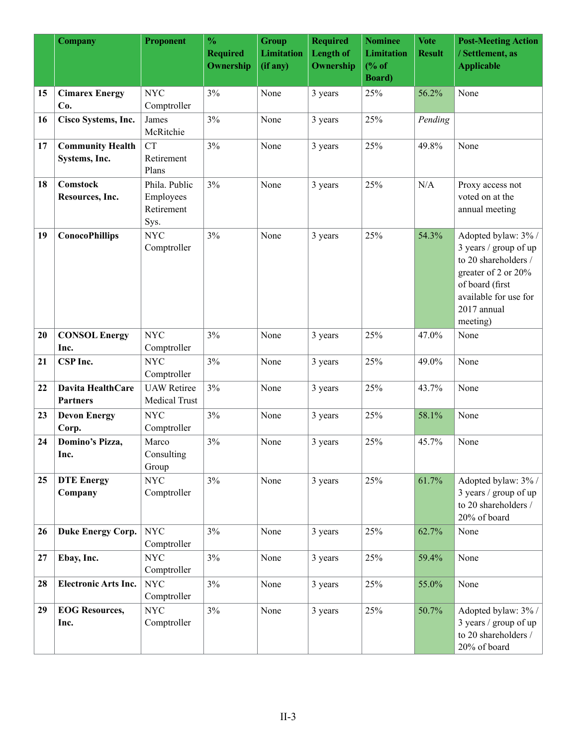|    | <b>Company</b>                           | Proponent                                        | $\frac{0}{0}$<br><b>Required</b><br>Ownership | <b>Group</b><br><b>Limitation</b><br>(if any) | <b>Required</b><br><b>Length of</b><br>Ownership | <b>Nominee</b><br><b>Limitation</b><br>% of<br><b>Board</b> ) | <b>Vote</b><br><b>Result</b> | <b>Post-Meeting Action</b><br>/ Settlement, as<br><b>Applicable</b>                                                                                                |
|----|------------------------------------------|--------------------------------------------------|-----------------------------------------------|-----------------------------------------------|--------------------------------------------------|---------------------------------------------------------------|------------------------------|--------------------------------------------------------------------------------------------------------------------------------------------------------------------|
| 15 | <b>Cimarex Energy</b><br>Co.             | <b>NYC</b><br>Comptroller                        | 3%                                            | None                                          | 3 years                                          | 25%                                                           | 56.2%                        | None                                                                                                                                                               |
| 16 | Cisco Systems, Inc.                      | James<br>McRitchie                               | 3%                                            | None                                          | 3 years                                          | 25%                                                           | Pending                      |                                                                                                                                                                    |
| 17 | <b>Community Health</b><br>Systems, Inc. | <b>CT</b><br>Retirement<br>Plans                 | 3%                                            | None                                          | 3 years                                          | 25%                                                           | 49.8%                        | None                                                                                                                                                               |
| 18 | Comstock<br>Resources, Inc.              | Phila. Public<br>Employees<br>Retirement<br>Sys. | 3%                                            | None                                          | 3 years                                          | 25%                                                           | N/A                          | Proxy access not<br>voted on at the<br>annual meeting                                                                                                              |
| 19 | <b>ConocoPhillips</b>                    | <b>NYC</b><br>Comptroller                        | 3%                                            | None                                          | 3 years                                          | 25%                                                           | 54.3%                        | Adopted bylaw: 3% /<br>3 years / group of up<br>to 20 shareholders /<br>greater of 2 or 20%<br>of board (first<br>available for use for<br>2017 annual<br>meeting) |
| 20 | <b>CONSOL Energy</b><br>Inc.             | <b>NYC</b><br>Comptroller                        | 3%                                            | None                                          | 3 years                                          | 25%                                                           | 47.0%                        | None                                                                                                                                                               |
| 21 | CSP Inc.                                 | <b>NYC</b><br>Comptroller                        | 3%                                            | None                                          | 3 years                                          | 25%                                                           | 49.0%                        | None                                                                                                                                                               |
| 22 | Davita HealthCare<br><b>Partners</b>     | <b>UAW</b> Retiree<br>Medical Trust              | 3%                                            | None                                          | 3 years                                          | 25%                                                           | 43.7%                        | None                                                                                                                                                               |
| 23 | <b>Devon Energy</b><br>Corp.             | <b>NYC</b><br>Comptroller                        | 3%                                            | None                                          | 3 years                                          | 25%                                                           | 58.1%                        | None                                                                                                                                                               |
| 24 | Domino's Pizza,<br>Inc.                  | Marco<br>Consulting<br>Group                     | 3%                                            | None                                          | 3 years                                          | 25%                                                           | 45.7%                        | None                                                                                                                                                               |
| 25 | <b>DTE Energy</b><br>Company             | <b>NYC</b><br>Comptroller                        | 3%                                            | None                                          | 3 years                                          | 25%                                                           | 61.7%                        | Adopted bylaw: 3% /<br>3 years / group of up<br>to 20 shareholders /<br>20% of board                                                                               |
| 26 | <b>Duke Energy Corp.</b>                 | <b>NYC</b><br>Comptroller                        | 3%                                            | None                                          | 3 years                                          | 25%                                                           | 62.7%                        | None                                                                                                                                                               |
| 27 | Ebay, Inc.                               | <b>NYC</b><br>Comptroller                        | 3%                                            | None                                          | 3 years                                          | 25%                                                           | 59.4%                        | None                                                                                                                                                               |
| 28 | <b>Electronic Arts Inc.</b>              | <b>NYC</b><br>Comptroller                        | 3%                                            | None                                          | 3 years                                          | 25%                                                           | 55.0%                        | None                                                                                                                                                               |
| 29 | <b>EOG Resources,</b><br>Inc.            | <b>NYC</b><br>Comptroller                        | 3%                                            | None                                          | 3 years                                          | 25%                                                           | 50.7%                        | Adopted bylaw: 3% /<br>3 years / group of up<br>to 20 shareholders /<br>20% of board                                                                               |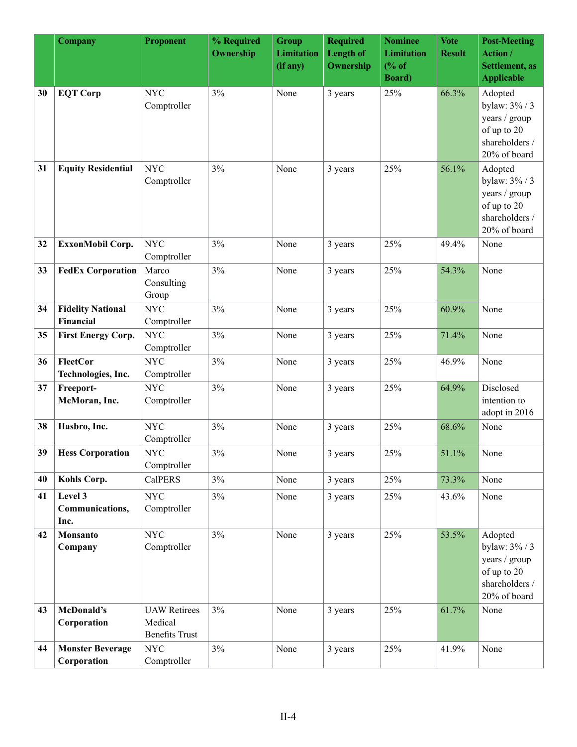|    | <b>Company</b>                         | <b>Proponent</b>                                        | % Required<br>Ownership | <b>Group</b><br><b>Limitation</b><br>(if any) | <b>Required</b><br><b>Length of</b><br>Ownership | <b>Nominee</b><br><b>Limitation</b><br>% of<br><b>Board</b> ) | <b>Vote</b><br><b>Result</b> | <b>Post-Meeting</b><br><b>Action</b> /<br>Settlement, as<br><b>Applicable</b>              |
|----|----------------------------------------|---------------------------------------------------------|-------------------------|-----------------------------------------------|--------------------------------------------------|---------------------------------------------------------------|------------------------------|--------------------------------------------------------------------------------------------|
| 30 | <b>EQT Corp</b>                        | <b>NYC</b><br>Comptroller                               | 3%                      | None                                          | 3 years                                          | 25%                                                           | 66.3%                        | Adopted<br>bylaw: 3% / 3<br>years / group<br>of up to 20<br>shareholders /<br>20% of board |
| 31 | <b>Equity Residential</b>              | <b>NYC</b><br>Comptroller                               | 3%                      | None                                          | 3 years                                          | 25%                                                           | 56.1%                        | Adopted<br>bylaw: 3% / 3<br>years / group<br>of up to 20<br>shareholders /<br>20% of board |
| 32 | ExxonMobil Corp.                       | <b>NYC</b><br>Comptroller                               | 3%                      | None                                          | 3 years                                          | 25%                                                           | 49.4%                        | None                                                                                       |
| 33 | <b>FedEx Corporation</b>               | Marco<br>Consulting<br>Group                            | 3%                      | None                                          | 3 years                                          | 25%                                                           | 54.3%                        | None                                                                                       |
| 34 | <b>Fidelity National</b><br>Financial  | <b>NYC</b><br>Comptroller                               | 3%                      | None                                          | 3 years                                          | 25%                                                           | 60.9%                        | None                                                                                       |
| 35 | <b>First Energy Corp.</b>              | <b>NYC</b><br>Comptroller                               | 3%                      | None                                          | 3 years                                          | 25%                                                           | 71.4%                        | None                                                                                       |
| 36 | <b>FleetCor</b><br>Technologies, Inc.  | <b>NYC</b><br>Comptroller                               | 3%                      | None                                          | 3 years                                          | 25%                                                           | 46.9%                        | None                                                                                       |
| 37 | Freeport-<br>McMoran, Inc.             | <b>NYC</b><br>Comptroller                               | 3%                      | None                                          | 3 years                                          | 25%                                                           | 64.9%                        | Disclosed<br>intention to<br>adopt in 2016                                                 |
| 38 | Hasbro, Inc.                           | <b>NYC</b><br>Comptroller                               | 3%                      | None                                          | 3 years                                          | 25%                                                           | 68.6%                        | None                                                                                       |
| 39 | <b>Hess Corporation</b>                | <b>NYC</b><br>Comptroller                               | $3\%$                   | None                                          | 3 years                                          | 25%                                                           | 51.1%                        | None                                                                                       |
| 40 | Kohls Corp.                            | <b>CalPERS</b>                                          | 3%                      | None                                          | 3 years                                          | 25%                                                           | 73.3%                        | None                                                                                       |
| 41 | Level 3<br>Communications,<br>Inc.     | <b>NYC</b><br>Comptroller                               | 3%                      | None                                          | 3 years                                          | 25%                                                           | 43.6%                        | None                                                                                       |
| 42 | <b>Monsanto</b><br>Company             | <b>NYC</b><br>Comptroller                               | 3%                      | None                                          | 3 years                                          | 25%                                                           | 53.5%                        | Adopted<br>bylaw: 3% / 3<br>years / group<br>of up to 20<br>shareholders /<br>20% of board |
| 43 | McDonald's<br>Corporation              | <b>UAW Retirees</b><br>Medical<br><b>Benefits Trust</b> | 3%                      | None                                          | 3 years                                          | 25%                                                           | 61.7%                        | None                                                                                       |
| 44 | <b>Monster Beverage</b><br>Corporation | <b>NYC</b><br>Comptroller                               | 3%                      | None                                          | 3 years                                          | 25%                                                           | 41.9%                        | None                                                                                       |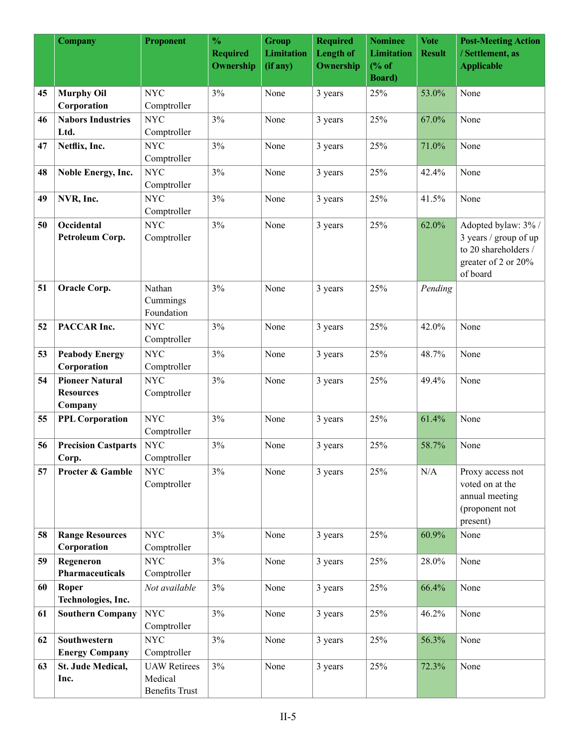|    | <b>Company</b>                                        | Proponent                                               | $\frac{0}{0}$<br><b>Required</b><br>Ownership | <b>Group</b><br><b>Limitation</b><br>(if any) | <b>Required</b><br><b>Length of</b><br>Ownership | <b>Nominee</b><br><b>Limitation</b><br>% of<br><b>Board</b> ) | <b>Vote</b><br><b>Result</b> | <b>Post-Meeting Action</b><br>/ Settlement, as<br><b>Applicable</b>                                     |
|----|-------------------------------------------------------|---------------------------------------------------------|-----------------------------------------------|-----------------------------------------------|--------------------------------------------------|---------------------------------------------------------------|------------------------------|---------------------------------------------------------------------------------------------------------|
| 45 | <b>Murphy Oil</b><br>Corporation                      | <b>NYC</b><br>Comptroller                               | 3%                                            | None                                          | 3 years                                          | 25%                                                           | 53.0%                        | None                                                                                                    |
| 46 | <b>Nabors Industries</b><br>Ltd.                      | <b>NYC</b><br>Comptroller                               | 3%                                            | None                                          | 3 years                                          | 25%                                                           | 67.0%                        | None                                                                                                    |
| 47 | Netflix, Inc.                                         | <b>NYC</b><br>Comptroller                               | 3%                                            | None                                          | 3 years                                          | 25%                                                           | 71.0%                        | None                                                                                                    |
| 48 | Noble Energy, Inc.                                    | <b>NYC</b><br>Comptroller                               | 3%                                            | None                                          | 3 years                                          | 25%                                                           | 42.4%                        | None                                                                                                    |
| 49 | NVR, Inc.                                             | <b>NYC</b><br>Comptroller                               | 3%                                            | None                                          | 3 years                                          | 25%                                                           | 41.5%                        | None                                                                                                    |
| 50 | Occidental<br>Petroleum Corp.                         | <b>NYC</b><br>Comptroller                               | 3%                                            | None                                          | 3 years                                          | 25%                                                           | 62.0%                        | Adopted bylaw: 3% /<br>3 years / group of up<br>to 20 shareholders /<br>greater of 2 or 20%<br>of board |
| 51 | Oracle Corp.                                          | Nathan<br>Cummings<br>Foundation                        | 3%                                            | None                                          | 3 years                                          | 25%                                                           | Pending                      |                                                                                                         |
| 52 | PACCAR Inc.                                           | <b>NYC</b><br>Comptroller                               | 3%                                            | None                                          | 3 years                                          | 25%                                                           | 42.0%                        | None                                                                                                    |
| 53 | <b>Peabody Energy</b><br>Corporation                  | <b>NYC</b><br>Comptroller                               | 3%                                            | None                                          | 3 years                                          | 25%                                                           | 48.7%                        | None                                                                                                    |
| 54 | <b>Pioneer Natural</b><br><b>Resources</b><br>Company | <b>NYC</b><br>Comptroller                               | 3%                                            | None                                          | 3 years                                          | 25%                                                           | 49.4%                        | None                                                                                                    |
| 55 | <b>PPL Corporation</b>                                | <b>NYC</b><br>Comptroller                               | 3%                                            | None                                          | 3 years                                          | 25%                                                           | 61.4%                        | None                                                                                                    |
| 56 | <b>Precision Castparts</b><br>Corp.                   | <b>NYC</b><br>Comptroller                               | 3%                                            | None                                          | 3 years                                          | 25%                                                           | 58.7%                        | None                                                                                                    |
| 57 | Procter & Gamble                                      | <b>NYC</b><br>Comptroller                               | 3%                                            | None                                          | 3 years                                          | 25%                                                           | N/A                          | Proxy access not<br>voted on at the<br>annual meeting<br>(proponent not<br>present)                     |
| 58 | <b>Range Resources</b><br>Corporation                 | <b>NYC</b><br>Comptroller                               | 3%                                            | None                                          | 3 years                                          | 25%                                                           | 60.9%                        | None                                                                                                    |
| 59 | Regeneron<br><b>Pharmaceuticals</b>                   | <b>NYC</b><br>Comptroller                               | 3%                                            | None                                          | 3 years                                          | 25%                                                           | 28.0%                        | None                                                                                                    |
| 60 | Roper<br>Technologies, Inc.                           | Not available                                           | 3%                                            | None                                          | 3 years                                          | 25%                                                           | 66.4%                        | None                                                                                                    |
| 61 | <b>Southern Company</b>                               | <b>NYC</b><br>Comptroller                               | 3%                                            | None                                          | 3 years                                          | 25%                                                           | 46.2%                        | None                                                                                                    |
| 62 | Southwestern<br><b>Energy Company</b>                 | <b>NYC</b><br>Comptroller                               | 3%                                            | None                                          | 3 years                                          | 25%                                                           | 56.3%                        | None                                                                                                    |
| 63 | St. Jude Medical,<br>Inc.                             | <b>UAW Retirees</b><br>Medical<br><b>Benefits Trust</b> | 3%                                            | None                                          | 3 years                                          | 25%                                                           | 72.3%                        | None                                                                                                    |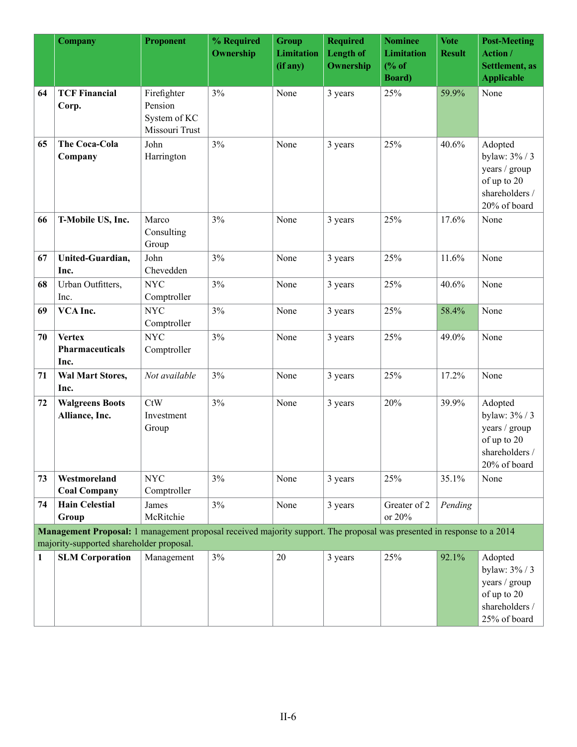|    | <b>Company</b>                                                                                                                                                            | <b>Proponent</b>                                         | % Required<br>Ownership | <b>Group</b><br><b>Limitation</b><br>(if any) | <b>Required</b><br><b>Length of</b><br>Ownership | <b>Nominee</b><br><b>Limitation</b><br>% of<br><b>Board</b> ) | <b>Vote</b><br><b>Result</b> | <b>Post-Meeting</b><br><b>Action</b> /<br><b>Settlement</b> , as<br><b>Applicable</b>      |
|----|---------------------------------------------------------------------------------------------------------------------------------------------------------------------------|----------------------------------------------------------|-------------------------|-----------------------------------------------|--------------------------------------------------|---------------------------------------------------------------|------------------------------|--------------------------------------------------------------------------------------------|
| 64 | <b>TCF Financial</b><br>Corp.                                                                                                                                             | Firefighter<br>Pension<br>System of KC<br>Missouri Trust | 3%                      | None                                          | 3 years                                          | 25%                                                           | 59.9%                        | None                                                                                       |
| 65 | The Coca-Cola<br>Company                                                                                                                                                  | John<br>Harrington                                       | 3%                      | None                                          | 3 years                                          | 25%                                                           | 40.6%                        | Adopted<br>bylaw: 3% / 3<br>years / group<br>of up to 20<br>shareholders /<br>20% of board |
| 66 | T-Mobile US, Inc.                                                                                                                                                         | Marco<br>Consulting<br>Group                             | 3%                      | None                                          | 3 years                                          | 25%                                                           | 17.6%                        | None                                                                                       |
| 67 | United-Guardian,<br>Inc.                                                                                                                                                  | John<br>Chevedden                                        | 3%                      | None                                          | 3 years                                          | 25%                                                           | 11.6%                        | None                                                                                       |
| 68 | Urban Outfitters,<br>Inc.                                                                                                                                                 | <b>NYC</b><br>Comptroller                                | 3%                      | None                                          | 3 years                                          | 25%                                                           | 40.6%                        | None                                                                                       |
| 69 | VCA Inc.                                                                                                                                                                  | <b>NYC</b><br>Comptroller                                | 3%                      | None                                          | 3 years                                          | 25%                                                           | 58.4%                        | None                                                                                       |
| 70 | <b>Vertex</b><br>Pharmaceuticals<br>Inc.                                                                                                                                  | <b>NYC</b><br>Comptroller                                | 3%                      | None                                          | 3 years                                          | 25%                                                           | 49.0%                        | None                                                                                       |
| 71 | Wal Mart Stores,<br>Inc.                                                                                                                                                  | Not available                                            | 3%                      | None                                          | 3 years                                          | 25%                                                           | 17.2%                        | None                                                                                       |
| 72 | <b>Walgreens Boots</b><br>Alliance, Inc.                                                                                                                                  | CtW<br>Investment<br>Group                               | 3%                      | None                                          | 3 years                                          | 20%                                                           | 39.9%                        | Adopted<br>bylaw: 3% / 3<br>years / group<br>of up to 20<br>shareholders /<br>20% of board |
| 73 | Westmoreland<br><b>Coal Company</b>                                                                                                                                       | <b>NYC</b><br>Comptroller                                | 3%                      | None                                          | 3 years                                          | 25%                                                           | 35.1%                        | None                                                                                       |
| 74 | <b>Hain Celestial</b><br>Group                                                                                                                                            | James<br>McRitchie                                       | $3\%$                   | None                                          | 3 years                                          | Greater of 2<br>or 20%                                        | Pending                      |                                                                                            |
|    | <b>Management Proposal:</b> 1 management proposal received majority support. The proposal was presented in response to a 2014<br>majority-supported shareholder proposal. |                                                          |                         |                                               |                                                  |                                                               |                              |                                                                                            |
| 1  | <b>SLM Corporation</b>                                                                                                                                                    | Management                                               | 3%                      | 20                                            | 3 years                                          | 25%                                                           | 92.1%                        | Adopted<br>bylaw: 3% / 3<br>years / group<br>of up to 20<br>shareholders /<br>25% of board |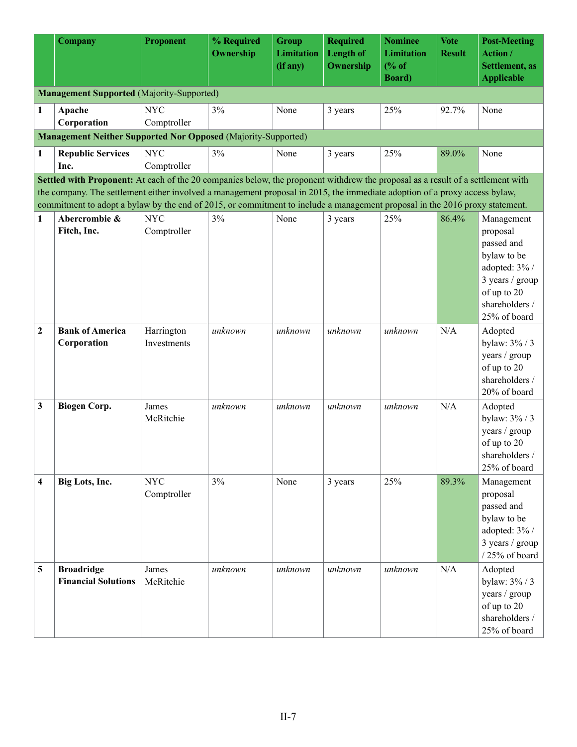|   | <b>Company</b>                                                                                                                                                                                                                                                                                                                                                                               | <b>Proponent</b>          | % Required<br>Ownership | <b>Group</b><br><b>Limitation</b><br>(i f any) | <b>Required</b><br><b>Length of</b><br>Ownership | <b>Nominee</b><br><b>Limitation</b><br>% of<br><b>Board</b> ) | <b>Vote</b><br><b>Result</b> | <b>Post-Meeting</b><br><b>Action</b> /<br>Settlement, as<br><b>Applicable</b>                                                              |
|---|----------------------------------------------------------------------------------------------------------------------------------------------------------------------------------------------------------------------------------------------------------------------------------------------------------------------------------------------------------------------------------------------|---------------------------|-------------------------|------------------------------------------------|--------------------------------------------------|---------------------------------------------------------------|------------------------------|--------------------------------------------------------------------------------------------------------------------------------------------|
|   | <b>Management Supported</b> (Majority-Supported)                                                                                                                                                                                                                                                                                                                                             |                           |                         |                                                |                                                  |                                                               |                              |                                                                                                                                            |
| 1 | Apache<br>Corporation                                                                                                                                                                                                                                                                                                                                                                        | <b>NYC</b><br>Comptroller | 3%                      | None                                           | 3 years                                          | 25%                                                           | 92.7%                        | None                                                                                                                                       |
|   | <b>Management Neither Supported Nor Opposed (Majority-Supported)</b>                                                                                                                                                                                                                                                                                                                         |                           |                         |                                                |                                                  |                                                               |                              |                                                                                                                                            |
| 1 | <b>Republic Services</b><br>Inc.                                                                                                                                                                                                                                                                                                                                                             | <b>NYC</b><br>Comptroller | 3%                      | None                                           | 3 years                                          | 25%                                                           | 89.0%                        | None                                                                                                                                       |
|   | Settled with Proponent: At each of the 20 companies below, the proponent withdrew the proposal as a result of a settlement with<br>the company. The settlement either involved a management proposal in 2015, the immediate adoption of a proxy access bylaw,<br>commitment to adopt a bylaw by the end of 2015, or commitment to include a management proposal in the 2016 proxy statement. |                           |                         |                                                |                                                  |                                                               |                              |                                                                                                                                            |
| 1 | Abercrombie &<br>Fitch, Inc.                                                                                                                                                                                                                                                                                                                                                                 | <b>NYC</b><br>Comptroller | 3%                      | None                                           | 3 years                                          | 25%                                                           | 86.4%                        | Management<br>proposal<br>passed and<br>bylaw to be<br>adopted: 3% /<br>$3$ years / group<br>of up to 20<br>shareholders /<br>25% of board |
| 2 | <b>Bank of America</b><br>Corporation                                                                                                                                                                                                                                                                                                                                                        | Harrington<br>Investments | unknown                 | unknown                                        | unknown                                          | unknown                                                       | N/A                          | Adopted<br>bylaw: 3% / 3<br>years / group<br>of up to 20<br>shareholders /<br>20% of board                                                 |
| 3 | <b>Biogen Corp.</b>                                                                                                                                                                                                                                                                                                                                                                          | James<br>McRitchie        | unknown                 | unknown                                        | unknown                                          | unknown                                                       | N/A                          | Adopted<br>bylaw: 3% / 3<br>years / group<br>of up to 20<br>shareholders /<br>25% of board                                                 |
| 4 | Big Lots, Inc.                                                                                                                                                                                                                                                                                                                                                                               | <b>NYC</b><br>Comptroller | 3%                      | None                                           | 3 years                                          | 25%                                                           | 89.3%                        | Management<br>proposal<br>passed and<br>bylaw to be<br>adopted: 3% /<br>3 years / group<br>/25% of board                                   |
| 5 | <b>Broadridge</b><br><b>Financial Solutions</b>                                                                                                                                                                                                                                                                                                                                              | James<br>McRitchie        | unknown                 | unknown                                        | unknown                                          | unknown                                                       | N/A                          | Adopted<br>bylaw: 3% / 3<br>years / group<br>of up to 20<br>shareholders /<br>25% of board                                                 |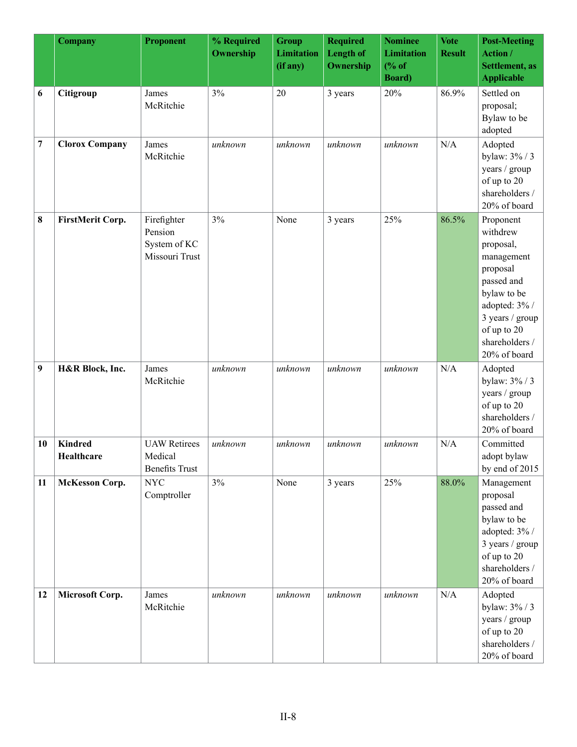|    | <b>Company</b>               | Proponent                                                | % Required<br>Ownership | <b>Group</b><br><b>Limitation</b><br>(if any) | <b>Required</b><br><b>Length of</b><br>Ownership | <b>Nominee</b><br><b>Limitation</b><br>% of<br><b>Board</b> ) | <b>Vote</b><br><b>Result</b> | <b>Post-Meeting</b><br><b>Action</b> /<br>Settlement, as<br><b>Applicable</b>                                                                                                  |
|----|------------------------------|----------------------------------------------------------|-------------------------|-----------------------------------------------|--------------------------------------------------|---------------------------------------------------------------|------------------------------|--------------------------------------------------------------------------------------------------------------------------------------------------------------------------------|
| 6  | Citigroup                    | James<br>McRitchie                                       | 3%                      | 20                                            | 3 years                                          | 20%                                                           | 86.9%                        | Settled on<br>proposal;<br>Bylaw to be<br>adopted                                                                                                                              |
| 7  | <b>Clorox Company</b>        | James<br>McRitchie                                       | unknown                 | unknown                                       | unknown                                          | unknown                                                       | N/A                          | Adopted<br>bylaw: 3% / 3<br>years / group<br>of up to 20<br>shareholders /<br>20% of board                                                                                     |
| 8  | FirstMerit Corp.             | Firefighter<br>Pension<br>System of KC<br>Missouri Trust | 3%                      | None                                          | 3 years                                          | 25%                                                           | 86.5%                        | Proponent<br>withdrew<br>proposal,<br>management<br>proposal<br>passed and<br>bylaw to be<br>adopted: 3% /<br>3 years / group<br>of up to 20<br>shareholders /<br>20% of board |
| 9  | H&R Block, Inc.              | James<br>McRitchie                                       | unknown                 | unknown                                       | unknown                                          | unknown                                                       | N/A                          | Adopted<br>bylaw: 3% / 3<br>years / group<br>of up to 20<br>shareholders /<br>20% of board                                                                                     |
| 10 | <b>Kindred</b><br>Healthcare | <b>UAW Retirees</b><br>Medical<br><b>Benefits Trust</b>  | unknown                 | unknown                                       | unknown                                          | unknown                                                       | N/A                          | Committed<br>adopt bylaw<br>by end of 2015                                                                                                                                     |
| 11 | <b>McKesson Corp.</b>        | <b>NYC</b><br>Comptroller                                | 3%                      | None                                          | 3 years                                          | 25%                                                           | 88.0%                        | Management<br>proposal<br>passed and<br>bylaw to be<br>adopted: 3% /<br>$3$ years / group<br>of up to 20<br>shareholders /<br>20% of board                                     |
| 12 | Microsoft Corp.              | James<br>McRitchie                                       | unknown                 | unknown                                       | unknown                                          | unknown                                                       | N/A                          | Adopted<br>bylaw: 3% / 3<br>years / group<br>of up to 20<br>shareholders $\prime$<br>$20\%$ of board                                                                           |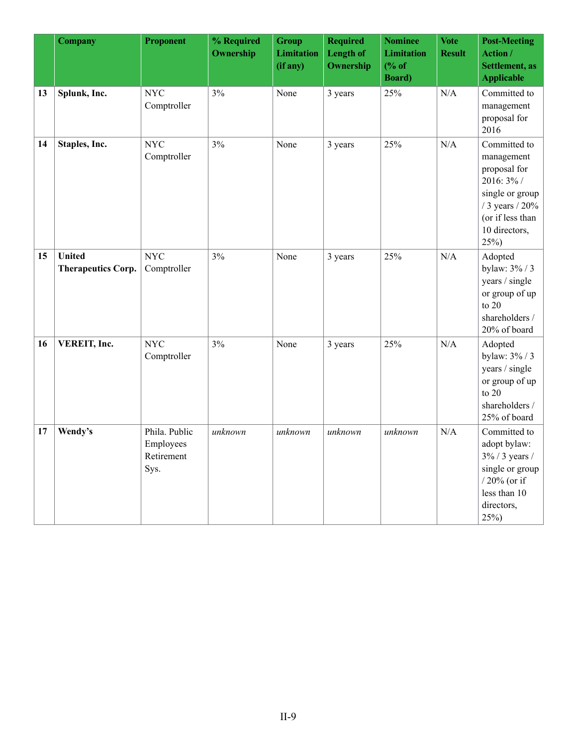|    | <b>Company</b>                      | Proponent                                        | % Required<br>Ownership | <b>Group</b><br><b>Limitation</b><br>(if any) | <b>Required</b><br><b>Length of</b><br>Ownership | <b>Nominee</b><br><b>Limitation</b><br>% of<br><b>Board</b> ) | <b>Vote</b><br><b>Result</b> | <b>Post-Meeting</b><br>Action /<br>Settlement, as<br><b>Applicable</b>                                                                         |
|----|-------------------------------------|--------------------------------------------------|-------------------------|-----------------------------------------------|--------------------------------------------------|---------------------------------------------------------------|------------------------------|------------------------------------------------------------------------------------------------------------------------------------------------|
| 13 | Splunk, Inc.                        | <b>NYC</b><br>Comptroller                        | 3%                      | None                                          | 3 years                                          | 25%                                                           | $\rm N/A$                    | Committed to<br>management<br>proposal for<br>2016                                                                                             |
| 14 | Staples, Inc.                       | <b>NYC</b><br>Comptroller                        | 3%                      | None                                          | 3 years                                          | 25%                                                           | N/A                          | Committed to<br>management<br>proposal for<br>2016: 3% /<br>single or group<br>/ 3 years / 20%<br>(or if less than<br>10 directors,<br>$25\%)$ |
| 15 | <b>United</b><br>Therapeutics Corp. | <b>NYC</b><br>Comptroller                        | 3%                      | None                                          | 3 years                                          | 25%                                                           | N/A                          | Adopted<br>bylaw: 3% / 3<br>years / single<br>or group of up<br>to $20$<br>shareholders /<br>20% of board                                      |
| 16 | VEREIT, Inc.                        | <b>NYC</b><br>Comptroller                        | 3%                      | None                                          | 3 years                                          | 25%                                                           | N/A                          | Adopted<br>bylaw: 3% / 3<br>years / single<br>or group of up<br>to $20$<br>shareholders /<br>25% of board                                      |
| 17 | Wendy's                             | Phila. Public<br>Employees<br>Retirement<br>Sys. | unknown                 | unknown                                       | unknown                                          | unknown                                                       | N/A                          | Committed to<br>adopt bylaw:<br>$3\%$ / 3 years /<br>single or group<br>$/20\%$ (or if<br>less than 10<br>directors,<br>$25\%)$                |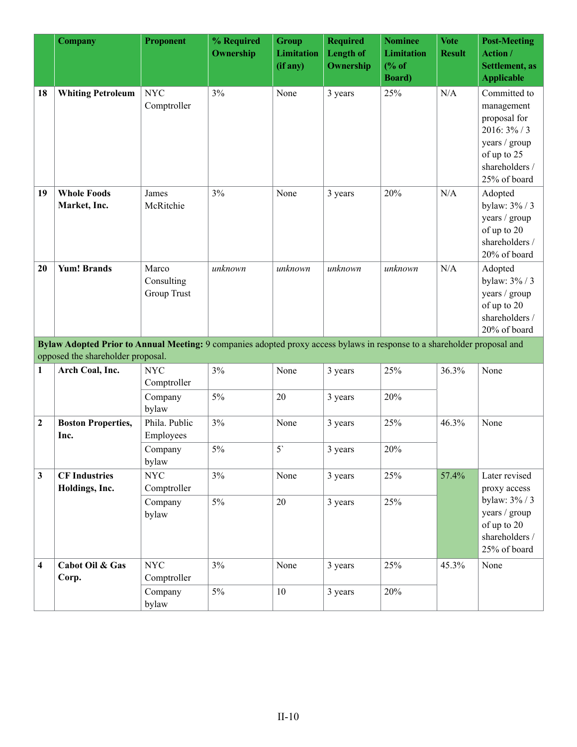|                  | <b>Company</b>                                                                                                                                                | <b>Proponent</b>                          | % Required<br>Ownership | <b>Group</b><br><b>Limitation</b><br>(if any) | <b>Required</b><br><b>Length of</b><br>Ownership | <b>Nominee</b><br><b>Limitation</b><br>% of<br><b>Board</b> ) | <b>Vote</b><br><b>Result</b> | <b>Post-Meeting</b><br><b>Action</b> /<br>Settlement, as<br><b>Applicable</b>                                                  |
|------------------|---------------------------------------------------------------------------------------------------------------------------------------------------------------|-------------------------------------------|-------------------------|-----------------------------------------------|--------------------------------------------------|---------------------------------------------------------------|------------------------------|--------------------------------------------------------------------------------------------------------------------------------|
| 18               | <b>Whiting Petroleum</b>                                                                                                                                      | <b>NYC</b><br>Comptroller                 | 3%                      | None                                          | 3 years                                          | 25%                                                           | N/A                          | Committed to<br>management<br>proposal for<br>$2016:3\% / 3$<br>years / group<br>of up to 25<br>shareholders /<br>25% of board |
| 19               | <b>Whole Foods</b><br>Market, Inc.                                                                                                                            | James<br>McRitchie                        | 3%                      | None                                          | 3 years                                          | 20%                                                           | N/A                          | Adopted<br>bylaw: 3% / 3<br>years / group<br>of up to 20<br>shareholders /<br>20% of board                                     |
| 20               | <b>Yum! Brands</b>                                                                                                                                            | Marco<br>Consulting<br><b>Group Trust</b> | unknown                 | unknown                                       | unknown                                          | unknown                                                       | N/A                          | Adopted<br>bylaw: 3% / 3<br>years / group<br>of up to 20<br>shareholders /<br>20% of board                                     |
|                  | Bylaw Adopted Prior to Annual Meeting: 9 companies adopted proxy access bylaws in response to a shareholder proposal and<br>opposed the shareholder proposal. |                                           |                         |                                               |                                                  |                                                               |                              |                                                                                                                                |
| 1                | Arch Coal, Inc.                                                                                                                                               | <b>NYC</b><br>Comptroller                 | 3%                      | None                                          | 3 years                                          | 25%                                                           | 36.3%                        | None                                                                                                                           |
|                  |                                                                                                                                                               | Company<br>bylaw                          | 5%                      | 20                                            | 3 years                                          | 20%                                                           |                              |                                                                                                                                |
| $\boldsymbol{2}$ | <b>Boston Properties,</b><br>Inc.                                                                                                                             | Phila. Public<br>Employees                | 3%                      | None                                          | 3 years                                          | 25%                                                           | 46.3%                        | None                                                                                                                           |
|                  |                                                                                                                                                               | Company<br>bylaw                          | 5%                      | $5^{\circ}$                                   | 3 years                                          | 20%                                                           |                              |                                                                                                                                |
| 3                | <b>CF</b> Industries<br>Holdings, Inc.                                                                                                                        | <b>NYC</b><br>Comptroller                 | 3%                      | None                                          | 3 years                                          | 25%                                                           | 57.4%                        | Later revised<br>proxy access                                                                                                  |
|                  |                                                                                                                                                               | Company<br>bylaw                          | $5\%$                   | 20                                            | 3 years                                          | 25%                                                           |                              | bylaw: 3% / 3<br>years / group<br>of up to 20<br>shareholders /<br>25% of board                                                |
| 4                | Cabot Oil & Gas<br>Corp.                                                                                                                                      | <b>NYC</b><br>Comptroller                 | 3%                      | None                                          | 3 years                                          | 25%                                                           | 45.3%                        | None                                                                                                                           |
|                  |                                                                                                                                                               | Company<br>bylaw                          | $5\%$                   | 10                                            | 3 years                                          | 20%                                                           |                              |                                                                                                                                |